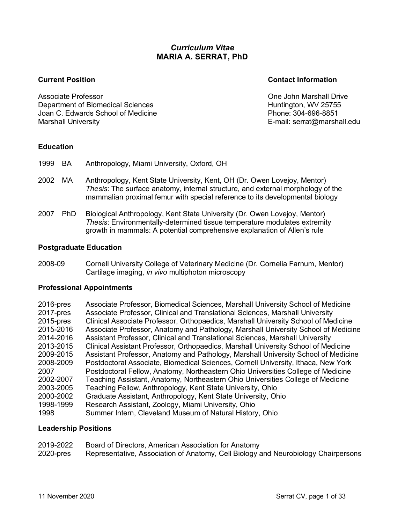## *Curriculum Vitae* **MARIA A. SERRAT, PhD**

Associate Professor One John Marshall Drive Department of Biomedical Sciences **Huntington, WV 25755** Joan C. Edwards School of Medicine Phone: 304-696-8851 Marshall University E-mail: serrat@marshall.edu

#### **Current Position Contact Information**

### **Education**

- 1999 BA Anthropology, Miami University, Oxford, OH
- 2002 MA Anthropology, Kent State University, Kent, OH (Dr. Owen Lovejoy, Mentor) *Thesis*: The surface anatomy, internal structure, and external morphology of the mammalian proximal femur with special reference to its developmental biology
- 2007 PhD Biological Anthropology, Kent State University (Dr. Owen Lovejoy, Mentor) *Thesis*: Environmentally-determined tissue temperature modulates extremity growth in mammals: A potential comprehensive explanation of Allen's rule

#### **Postgraduate Education**

2008-09 Cornell University College of Veterinary Medicine (Dr. Cornelia Farnum, Mentor) Cartilage imaging, *in vivo* multiphoton microscopy

### **Professional Appointments**

| $2016$ -pres | Associate Professor, Biomedical Sciences, Marshall University School of Medicine   |
|--------------|------------------------------------------------------------------------------------|
| $2017$ -pres | Associate Professor, Clinical and Translational Sciences, Marshall University      |
| $2015$ -pres | Clinical Associate Professor, Orthopaedics, Marshall University School of Medicine |
| 2015-2016    | Associate Professor, Anatomy and Pathology, Marshall University School of Medicine |
| 2014-2016    | Assistant Professor, Clinical and Translational Sciences, Marshall University      |
| 2013-2015    | Clinical Assistant Professor, Orthopaedics, Marshall University School of Medicine |
| 2009-2015    | Assistant Professor, Anatomy and Pathology, Marshall University School of Medicine |
| 2008-2009    | Postdoctoral Associate, Biomedical Sciences, Cornell University, Ithaca, New York  |
| 2007         | Postdoctoral Fellow, Anatomy, Northeastern Ohio Universities College of Medicine   |
| 2002-2007    | Teaching Assistant, Anatomy, Northeastern Ohio Universities College of Medicine    |
| 2003-2005    | Teaching Fellow, Anthropology, Kent State University, Ohio                         |
| 2000-2002    | Graduate Assistant, Anthropology, Kent State University, Ohio                      |
| 1998-1999    | Research Assistant, Zoology, Miami University, Ohio                                |
| 1998         | Summer Intern, Cleveland Museum of Natural History, Ohio                           |

#### **Leadership Positions**

| 2019-2022    | Board of Directors, American Association for Anatomy                               |
|--------------|------------------------------------------------------------------------------------|
| $2020$ -pres | Representative, Association of Anatomy, Cell Biology and Neurobiology Chairpersons |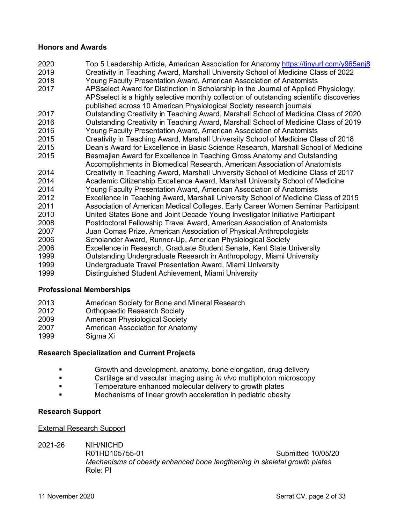#### **Honors and Awards**

 Top 5 Leadership Article, American Association for Anatomy https://tinyurl.com/y965anj8 Creativity in Teaching Award, Marshall University School of Medicine Class of 2022 Young Faculty Presentation Award, American Association of Anatomists APSselect Award for Distinction in Scholarship in the Journal of Applied Physiology; APSselect is a highly selective monthly collection of outstanding scientific discoveries published across 10 American Physiological Society research journals Outstanding Creativity in Teaching Award, Marshall School of Medicine Class of 2020 Outstanding Creativity in Teaching Award, Marshall School of Medicine Class of 2019 Young Faculty Presentation Award, American Association of Anatomists Creativity in Teaching Award, Marshall University School of Medicine Class of 2018 Dean's Award for Excellence in Basic Science Research, Marshall School of Medicine Basmajian Award for Excellence in Teaching Gross Anatomy and Outstanding Accomplishments in Biomedical Research, American Association of Anatomists Creativity in Teaching Award, Marshall University School of Medicine Class of 2017 Academic Citizenship Excellence Award, Marshall University School of Medicine Young Faculty Presentation Award, American Association of Anatomists Excellence in Teaching Award, Marshall University School of Medicine Class of 2015 Association of American Medical Colleges, Early Career Women Seminar Participant United States Bone and Joint Decade Young Investigator Initiative Participant Postdoctoral Fellowship Travel Award, American Association of Anatomists Juan Comas Prize, American Association of Physical Anthropologists 2006 Scholander Award, Runner-Up, American Physiological Society Excellence in Research, Graduate Student Senate, Kent State University Outstanding Undergraduate Research in Anthropology, Miami University Undergraduate Travel Presentation Award, Miami University Distinguished Student Achievement, Miami University

### **Professional Memberships**

- American Society for Bone and Mineral Research
- Orthopaedic Research Society
- American Physiological Society
- American Association for Anatomy
- Sigma Xi

### **Research Specialization and Current Projects**

- § Growth and development, anatomy, bone elongation, drug delivery
- § Cartilage and vascular imaging using *in vivo* multiphoton microscopy
- **Example 7** Temperature enhanced molecular delivery to growth plates
- **Example 2 Mechanisms of linear growth acceleration in pediatric obesity**

#### **Research Support**

#### External Research Support

2021-26 NIH/NICHD

R01HD105755-01 Submitted 10/05/20 *Mechanisms of obesity enhanced bone lengthening in skeletal growth plates* Role: PI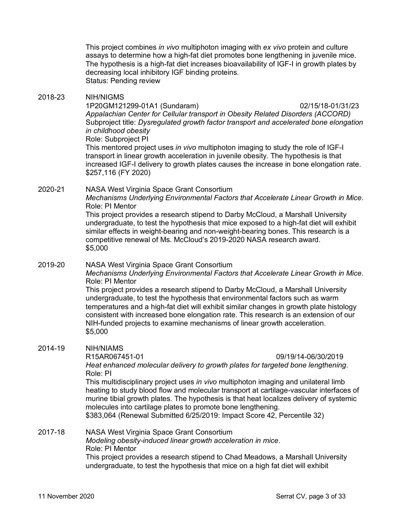This project combines *in vivo* multiphoton imaging with *ex vivo* protein and culture assays to determine how a high-fat diet promotes bone lengthening in juvenile mice. The hypothesis is a high-fat diet increases bioavailability of IGF-I in growth plates by decreasing local inhibitory IGF binding proteins. Status: Pending review

#### 2018-23 NIH/NIGMS

1P20GM121299-01A1 (Sundaram) 02/15/18-01/31/23 *Appalachian Center for Cellular transport in Obesity Related Disorders (ACCORD)* Subproject title: *Dysregulated growth factor transport and accelerated bone elongation in childhood obesity*  Role: Subproject PI

This mentored project uses *in vivo* multiphoton imaging to study the role of IGF-I transport in linear growth acceleration in juvenile obesity. The hypothesis is that increased IGF-I delivery to growth plates causes the increase in bone elongation rate. \$257,116 (FY 2020)

2020-21 NASA West Virginia Space Grant Consortium *Mechanisms Underlying Environmental Factors that Accelerate Linear Growth in Mice*. Role: PI Mentor This project provides a research stipend to Darby McCloud, a Marshall University

undergraduate, to test the hypothesis that mice exposed to a high-fat diet will exhibit similar effects in weight-bearing and non-weight-bearing bones. This research is a competitive renewal of Ms. McCloud's 2019-2020 NASA research award. \$5,000

## 2019-20 NASA West Virginia Space Grant Consortium

*Mechanisms Underlying Environmental Factors that Accelerate Linear Growth in Mice*. Role: PI Mentor

This project provides a research stipend to Darby McCloud, a Marshall University undergraduate, to test the hypothesis that environmental factors such as warm temperatures and a high-fat diet will exhibit similar changes in growth plate histology consistent with increased bone elongation rate. This research is an extension of our NIH-funded projects to examine mechanisms of linear growth acceleration. \$5,000

### 2014-19 NIH/NIAMS

R15AR067451-01 09/19/14-06/30/2019

*Heat enhanced molecular delivery to growth plates for targeted bone lengthening*. Role: PI

This multidisciplinary project uses *in vivo* multiphoton imaging and unilateral limb heating to study blood flow and molecular transport at cartilage-vascular interfaces of murine tibial growth plates. The hypothesis is that heat localizes delivery of systemic molecules into cartilage plates to promote bone lengthening. \$383,064 (Renewal Submitted 6/25/2019: Impact Score 42, Percentile 32)

## 2017-18 NASA West Virginia Space Grant Consortium

*Modeling obesity-induced linear growth acceleration in mice*. Role: PI Mentor

This project provides a research stipend to Chad Meadows, a Marshall University undergraduate, to test the hypothesis that mice on a high fat diet will exhibit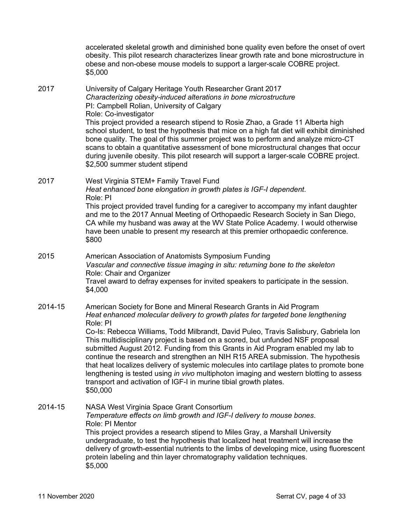|         | accelerated skeletal growth and diminished bone quality even before the onset of overt<br>obesity. This pilot research characterizes linear growth rate and bone microstructure in<br>obese and non-obese mouse models to support a larger-scale COBRE project.<br>\$5,000                                                                                                                                                                                                                                                                                                                                           |
|---------|----------------------------------------------------------------------------------------------------------------------------------------------------------------------------------------------------------------------------------------------------------------------------------------------------------------------------------------------------------------------------------------------------------------------------------------------------------------------------------------------------------------------------------------------------------------------------------------------------------------------|
| 2017    | University of Calgary Heritage Youth Researcher Grant 2017<br>Characterizing obesity-induced alterations in bone microstructure<br>PI: Campbell Rolian, University of Calgary<br>Role: Co-investigator<br>This project provided a research stipend to Rosie Zhao, a Grade 11 Alberta high                                                                                                                                                                                                                                                                                                                            |
|         | school student, to test the hypothesis that mice on a high fat diet will exhibit diminished<br>bone quality. The goal of this summer project was to perform and analyze micro-CT<br>scans to obtain a quantitative assessment of bone microstructural changes that occur<br>during juvenile obesity. This pilot research will support a larger-scale COBRE project.<br>\$2,500 summer student stipend                                                                                                                                                                                                                |
| 2017    | West Virginia STEM+ Family Travel Fund<br>Heat enhanced bone elongation in growth plates is IGF-I dependent.<br>Role: PI                                                                                                                                                                                                                                                                                                                                                                                                                                                                                             |
|         | This project provided travel funding for a caregiver to accompany my infant daughter<br>and me to the 2017 Annual Meeting of Orthopaedic Research Society in San Diego,<br>CA while my husband was away at the WV State Police Academy. I would otherwise<br>have been unable to present my research at this premier orthopaedic conference.<br>\$800                                                                                                                                                                                                                                                                |
| 2015    | American Association of Anatomists Symposium Funding<br>Vascular and connective tissue imaging in situ: returning bone to the skeleton                                                                                                                                                                                                                                                                                                                                                                                                                                                                               |
|         | Role: Chair and Organizer<br>Travel award to defray expenses for invited speakers to participate in the session.<br>\$4,000                                                                                                                                                                                                                                                                                                                                                                                                                                                                                          |
| 2014-15 | American Society for Bone and Mineral Research Grants in Aid Program<br>Heat enhanced molecular delivery to growth plates for targeted bone lengthening<br>Role: PI                                                                                                                                                                                                                                                                                                                                                                                                                                                  |
|         | Co-Is: Rebecca Williams, Todd Milbrandt, David Puleo, Travis Salisbury, Gabriela Ion<br>This multidisciplinary project is based on a scored, but unfunded NSF proposal<br>submitted August 2012. Funding from this Grants in Aid Program enabled my lab to<br>continue the research and strengthen an NIH R15 AREA submission. The hypothesis<br>that heat localizes delivery of systemic molecules into cartilage plates to promote bone<br>lengthening is tested using in vivo multiphoton imaging and western blotting to assess<br>transport and activation of IGF-I in murine tibial growth plates.<br>\$50,000 |
| 2014-15 | NASA West Virginia Space Grant Consortium<br>Temperature effects on limb growth and IGF-I delivery to mouse bones.<br>Role: PI Mentor                                                                                                                                                                                                                                                                                                                                                                                                                                                                                |
|         | This project provides a research stipend to Miles Gray, a Marshall University<br>undergraduate, to test the hypothesis that localized heat treatment will increase the<br>delivery of growth-essential nutrients to the limbs of developing mice, using fluorescent<br>protein labeling and thin layer chromatography validation techniques.<br>\$5,000                                                                                                                                                                                                                                                              |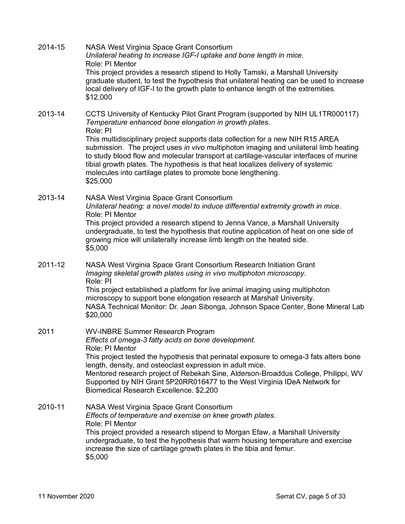| 2014-15 | NASA West Virginia Space Grant Consortium<br>Unilateral heating to increase IGF-I uptake and bone length in mice.<br>Role: PI Mentor<br>This project provides a research stipend to Holly Tamski, a Marshall University<br>graduate student, to test the hypothesis that unilateral heating can be used to increase<br>local delivery of IGF-I to the growth plate to enhance length of the extremities.<br>\$12,000                                                                                                                                                                     |
|---------|------------------------------------------------------------------------------------------------------------------------------------------------------------------------------------------------------------------------------------------------------------------------------------------------------------------------------------------------------------------------------------------------------------------------------------------------------------------------------------------------------------------------------------------------------------------------------------------|
| 2013-14 | CCTS University of Kentucky Pilot Grant Program (supported by NIH UL1TR000117)<br>Temperature enhanced bone elongation in growth plates.<br>Role: PI<br>This multidisciplinary project supports data collection for a new NIH R15 AREA<br>submission. The project uses in vivo multiphoton imaging and unilateral limb heating<br>to study blood flow and molecular transport at cartilage-vascular interfaces of murine<br>tibial growth plates. The hypothesis is that heat localizes delivery of systemic<br>molecules into cartilage plates to promote bone lengthening.<br>\$25,000 |
| 2013-14 | NASA West Virginia Space Grant Consortium<br>Unilateral heating: a novel model to induce differential extremity growth in mice.<br>Role: PI Mentor<br>This project provided a research stipend to Jenna Vance, a Marshall University<br>undergraduate, to test the hypothesis that routine application of heat on one side of<br>growing mice will unilaterally increase limb length on the heated side.<br>\$5,000                                                                                                                                                                      |
| 2011-12 | NASA West Virginia Space Grant Consortium Research Initiation Grant<br>Imaging skeletal growth plates using in vivo multiphoton microscopy.<br>Role: PI<br>This project established a platform for live animal imaging using multiphoton<br>microscopy to support bone elongation research at Marshall University.<br>NASA Technical Monitor: Dr. Jean Sibonga, Johnson Space Center, Bone Mineral Lab<br>\$20,000                                                                                                                                                                       |
| 2011    | <b>WV-INBRE Summer Research Program</b><br>Effects of omega-3 fatty acids on bone development.<br>Role: PI Mentor<br>This project tested the hypothesis that perinatal exposure to omega-3 fats alters bone<br>length, density, and osteoclast expression in adult mice.<br>Mentored research project of Rebekah Sine, Alderson-Broaddus College, Philippi, WV<br>Supported by NIH Grant 5P20RR016477 to the West Virginia IDeA Network for<br>Biomedical Research Excellence. \$2,200                                                                                                   |
| 2010-11 | NASA West Virginia Space Grant Consortium<br>Effects of temperature and exercise on knee growth plates.<br>Role: PI Mentor<br>This project provided a research stipend to Morgan Efaw, a Marshall University<br>undergraduate, to test the hypothesis that warm housing temperature and exercise<br>increase the size of cartilage growth plates in the tibia and femur.<br>\$5,000                                                                                                                                                                                                      |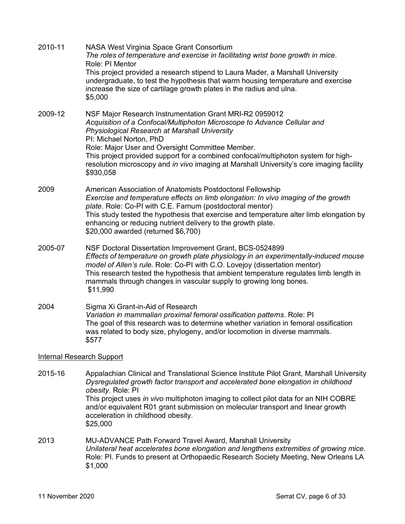| 2010-11 | NASA West Virginia Space Grant Consortium<br>The roles of temperature and exercise in facilitating wrist bone growth in mice.<br>Role: PI Mentor<br>This project provided a research stipend to Laura Mader, a Marshall University<br>undergraduate, to test the hypothesis that warm housing temperature and exercise<br>increase the size of cartilage growth plates in the radius and ulna.<br>\$5,000                                                          |
|---------|--------------------------------------------------------------------------------------------------------------------------------------------------------------------------------------------------------------------------------------------------------------------------------------------------------------------------------------------------------------------------------------------------------------------------------------------------------------------|
| 2009-12 | NSF Major Research Instrumentation Grant MRI-R2 0959012<br>Acquisition of a Confocal/Multiphoton Microscope to Advance Cellular and<br>Physiological Research at Marshall University<br>PI: Michael Norton, PhD<br>Role: Major User and Oversight Committee Member.<br>This project provided support for a combined confocal/multiphoton system for high-<br>resolution microscopy and in vivo imaging at Marshall University's core imaging facility<br>\$930,058 |
| 2009    | American Association of Anatomists Postdoctoral Fellowship<br>Exercise and temperature effects on limb elongation: In vivo imaging of the growth<br>plate. Role: Co-PI with C.E. Farnum (postdoctoral mentor)<br>This study tested the hypothesis that exercise and temperature alter limb elongation by<br>enhancing or reducing nutrient delivery to the growth plate.<br>\$20,000 awarded (returned \$6,700)                                                    |
| 2005-07 | NSF Doctoral Dissertation Improvement Grant, BCS-0524899<br>Effects of temperature on growth plate physiology in an experimentally-induced mouse<br>model of Allen's rule. Role: Co-PI with C.O. Lovejoy (dissertation mentor)<br>This research tested the hypothesis that ambient temperature regulates limb length in<br>mammals through changes in vascular supply to growing long bones.<br>\$11,990                                                           |
| 2004    | Sigma Xi Grant-in-Aid of Research<br>Variation in mammalian proximal femoral ossification patterns. Role: PI<br>The goal of this research was to determine whether variation in femoral ossification<br>was related to body size, phylogeny, and/or locomotion in diverse mammals.<br>\$577                                                                                                                                                                        |
|         | <b>Internal Research Support</b>                                                                                                                                                                                                                                                                                                                                                                                                                                   |
| 2015-16 | Appalachian Clinical and Translational Science Institute Pilot Grant, Marshall University<br>Dysregulated growth factor transport and accelerated bone elongation in childhood<br>obesity. Role: PI<br>This project uses in vivo multiphoton imaging to collect pilot data for an NIH COBRE<br>and/or equivalent R01 grant submission on molecular transport and linear growth                                                                                     |

- acceleration in childhood obesity. \$25,000
- 2013 MU-ADVANCE Path Forward Travel Award, Marshall University *Unilateral heat accelerates bone elongation and lengthens extremities of growing mice.* Role: PI. Funds to present at Orthopaedic Research Society Meeting, New Orleans LA \$1,000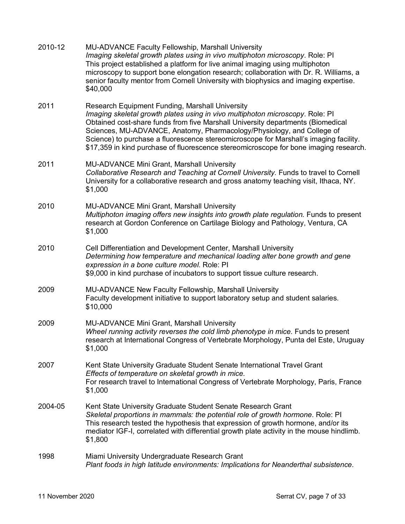| 2010-12 | <b>MU-ADVANCE Faculty Fellowship, Marshall University</b><br>Imaging skeletal growth plates using in vivo multiphoton microscopy. Role: PI<br>This project established a platform for live animal imaging using multiphoton<br>microscopy to support bone elongation research; collaboration with Dr. R. Williams, a<br>senior faculty mentor from Cornell University with biophysics and imaging expertise.<br>\$40,000                                                        |  |  |  |  |  |
|---------|---------------------------------------------------------------------------------------------------------------------------------------------------------------------------------------------------------------------------------------------------------------------------------------------------------------------------------------------------------------------------------------------------------------------------------------------------------------------------------|--|--|--|--|--|
| 2011    | Research Equipment Funding, Marshall University<br>Imaging skeletal growth plates using in vivo multiphoton microscopy. Role: PI<br>Obtained cost-share funds from five Marshall University departments (Biomedical<br>Sciences, MU-ADVANCE, Anatomy, Pharmacology/Physiology, and College of<br>Science) to purchase a fluorescence stereomicroscope for Marshall's imaging facility.<br>\$17,359 in kind purchase of fluorescence stereomicroscope for bone imaging research. |  |  |  |  |  |
| 2011    | <b>MU-ADVANCE Mini Grant, Marshall University</b><br>Collaborative Research and Teaching at Cornell University. Funds to travel to Cornell<br>University for a collaborative research and gross anatomy teaching visit, Ithaca, NY.<br>\$1,000                                                                                                                                                                                                                                  |  |  |  |  |  |
| 2010    | <b>MU-ADVANCE Mini Grant, Marshall University</b><br>Multiphoton imaging offers new insights into growth plate regulation. Funds to present<br>research at Gordon Conference on Cartilage Biology and Pathology, Ventura, CA<br>\$1,000                                                                                                                                                                                                                                         |  |  |  |  |  |
| 2010    | Cell Differentiation and Development Center, Marshall University<br>Determining how temperature and mechanical loading alter bone growth and gene<br>expression in a bone culture model. Role: PI<br>\$9,000 in kind purchase of incubators to support tissue culture research.                                                                                                                                                                                                 |  |  |  |  |  |
| 2009    | MU-ADVANCE New Faculty Fellowship, Marshall University<br>Faculty development initiative to support laboratory setup and student salaries.<br>\$10,000                                                                                                                                                                                                                                                                                                                          |  |  |  |  |  |
| 2009    | <b>MU-ADVANCE Mini Grant, Marshall University</b><br>Wheel running activity reverses the cold limb phenotype in mice. Funds to present<br>research at International Congress of Vertebrate Morphology, Punta del Este, Uruguay<br>\$1,000                                                                                                                                                                                                                                       |  |  |  |  |  |
| 2007    | Kent State University Graduate Student Senate International Travel Grant<br>Effects of temperature on skeletal growth in mice.<br>For research travel to International Congress of Vertebrate Morphology, Paris, France<br>\$1,000                                                                                                                                                                                                                                              |  |  |  |  |  |
| 2004-05 | Kent State University Graduate Student Senate Research Grant<br>Skeletal proportions in mammals: the potential role of growth hormone. Role: PI<br>This research tested the hypothesis that expression of growth hormone, and/or its<br>mediator IGF-I, correlated with differential growth plate activity in the mouse hindlimb.<br>\$1,800                                                                                                                                    |  |  |  |  |  |
| 1998    | Miami University Undergraduate Research Grant<br>Plant foods in high latitude environments: Implications for Neanderthal subsistence.                                                                                                                                                                                                                                                                                                                                           |  |  |  |  |  |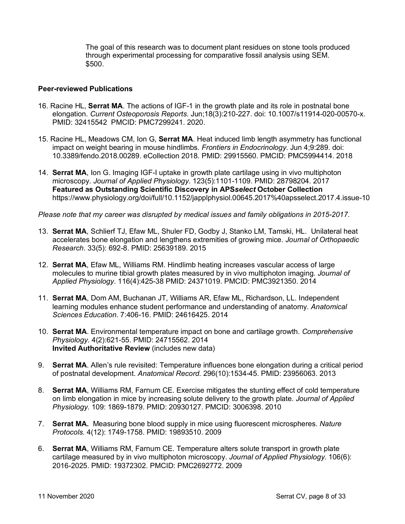The goal of this research was to document plant residues on stone tools produced through experimental processing for comparative fossil analysis using SEM. \$500.

#### **Peer-reviewed Publications**

- 16. Racine HL, **Serrat MA**. The actions of IGF-1 in the growth plate and its role in postnatal bone elongation. *Current Osteoporosis Reports*. Jun;18(3):210-227. doi: 10.1007/s11914-020-00570-x. PMID: 32415542 PMCID: PMC7299241. 2020.
- 15. Racine HL, Meadows CM, Ion G, **Serrat MA**. Heat induced limb length asymmetry has functional impact on weight bearing in mouse hindlimbs. *Frontiers in Endocrinology*. Jun 4;9:289. doi: 10.3389/fendo.2018.00289. eCollection 2018. PMID: 29915560. PMCID: PMC5994414. 2018
- 14. **Serrat MA**, Ion G. Imaging IGF-I uptake in growth plate cartilage using in vivo multiphoton microscopy. *Journal of Applied Physiology*. 123(5):1101-1109. PMID: 28798204. 2017 **Featured as Outstanding Scientific Discovery in APS***select* **October Collection** https://www.physiology.org/doi/full/10.1152/japplphysiol.00645.2017%40apsselect.2017.4.issue-10

*Please note that my career was disrupted by medical issues and family obligations in 2015-2017.*

- 13. **Serrat MA**, Schlierf TJ, Efaw ML, Shuler FD, Godby J, Stanko LM, Tamski, HL. Unilateral heat accelerates bone elongation and lengthens extremities of growing mice. *Journal of Orthopaedic Research*. 33(5): 692-8. PMID: 25639189. 2015
- 12. **Serrat MA**, Efaw ML, Williams RM. Hindlimb heating increases vascular access of large molecules to murine tibial growth plates measured by in vivo multiphoton imaging. *Journal of Applied Physiology*. 116(4):425-38 PMID: 24371019. PMCID: PMC3921350. 2014
- 11. **Serrat MA**, Dom AM, Buchanan JT, Williams AR, Efaw ML, Richardson, LL. Independent learning modules enhance student performance and understanding of anatomy. *Anatomical Sciences Education*. 7:406-16. PMID: 24616425. 2014
- 10. **Serrat MA**. Environmental temperature impact on bone and cartilage growth. *Comprehensive Physiology*. 4(2):621-55. PMID: 24715562. 2014 **Invited Authoritative Review** (includes new data)
- 9. **Serrat MA**. Allen's rule revisited: Temperature influences bone elongation during a critical period of postnatal development. *Anatomical Record*. 296(10):1534-45. PMID: 23956063. 2013
- 8. **Serrat MA**, Williams RM, Farnum CE. Exercise mitigates the stunting effect of cold temperature on limb elongation in mice by increasing solute delivery to the growth plate. *Journal of Applied Physiology*. 109: 1869-1879. PMID: 20930127. PMCID: 3006398. 2010
- 7. **Serrat MA.** Measuring bone blood supply in mice using fluorescent microspheres. *Nature Protocols.* 4(12): 1749-1758. PMID: 19893510. 2009
- 6. **Serrat MA**, Williams RM, Farnum CE. Temperature alters solute transport in growth plate cartilage measured by in vivo multiphoton microscopy. *Journal of Applied Physiology*. 106(6): 2016-2025. PMID: 19372302. PMCID: PMC2692772. 2009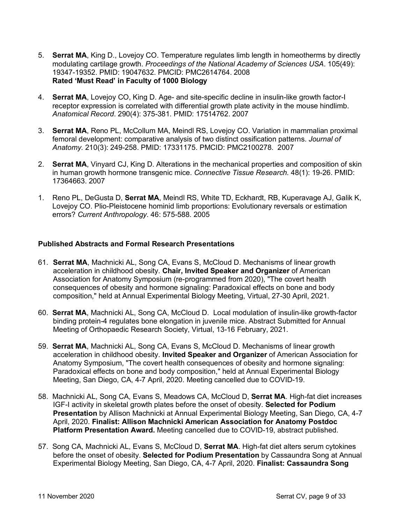- 5. **Serrat MA**, King D., Lovejoy CO. Temperature regulates limb length in homeotherms by directly modulating cartilage growth. *Proceedings of the National Academy of Sciences USA*. 105(49): 19347-19352. PMID: 19047632. PMCID: PMC2614764. 2008 **Rated 'Must Read' in Faculty of 1000 Biology**
- 4. **Serrat MA**, Lovejoy CO, King D. Age- and site-specific decline in insulin-like growth factor-I receptor expression is correlated with differential growth plate activity in the mouse hindlimb. *Anatomical Record*. 290(4): 375-381. PMID: 17514762. 2007
- 3. **Serrat MA**, Reno PL, McCollum MA, Meindl RS, Lovejoy CO. Variation in mammalian proximal femoral development: comparative analysis of two distinct ossification patterns. *Journal of Anatomy.* 210(3): 249-258. PMID: 17331175. PMCID: PMC2100278. 2007
- 2. **Serrat MA**, Vinyard CJ, King D. Alterations in the mechanical properties and composition of skin in human growth hormone transgenic mice. *Connective Tissue Research.* 48(1): 19-26. PMID: 17364663. 2007
- 1. Reno PL, DeGusta D, **Serrat MA**, Meindl RS, White TD, Eckhardt, RB, Kuperavage AJ, Galik K, Lovejoy CO. Plio-Pleistocene hominid limb proportions: Evolutionary reversals or estimation errors? *Current Anthropology*. 46: 575-588. 2005

#### **Published Abstracts and Formal Research Presentations**

- 61. **Serrat MA**, Machnicki AL, Song CA, Evans S, McCloud D. Mechanisms of linear growth acceleration in childhood obesity. **Chair, Invited Speaker and Organizer** of American Association for Anatomy Symposium (re-programmed from 2020), "The covert health consequences of obesity and hormone signaling: Paradoxical effects on bone and body composition," held at Annual Experimental Biology Meeting, Virtual, 27-30 April, 2021.
- 60. **Serrat MA**, Machnicki AL, Song CA, McCloud D. Local modulation of insulin-like growth-factor binding protein-4 regulates bone elongation in juvenile mice. Abstract Submitted for Annual Meeting of Orthopaedic Research Society, Virtual, 13-16 February, 2021.
- 59. **Serrat MA**, Machnicki AL, Song CA, Evans S, McCloud D. Mechanisms of linear growth acceleration in childhood obesity. **Invited Speaker and Organizer** of American Association for Anatomy Symposium, "The covert health consequences of obesity and hormone signaling: Paradoxical effects on bone and body composition," held at Annual Experimental Biology Meeting, San Diego, CA, 4-7 April, 2020. Meeting cancelled due to COVID-19.
- 58. Machnicki AL, Song CA, Evans S, Meadows CA, McCloud D, **Serrat MA**. High-fat diet increases IGF-I activity in skeletal growth plates before the onset of obesity. **Selected for Podium Presentation** by Allison Machnicki at Annual Experimental Biology Meeting, San Diego, CA, 4-7 April, 2020. **Finalist: Allison Machnicki American Association for Anatomy Postdoc Platform Presentation Award.** Meeting cancelled due to COVID-19, abstract published.
- 57. Song CA, Machnicki AL, Evans S, McCloud D, **Serrat MA**. High-fat diet alters serum cytokines before the onset of obesity. **Selected for Podium Presentation** by Cassaundra Song at Annual Experimental Biology Meeting, San Diego, CA, 4-7 April, 2020. **Finalist: Cassaundra Song**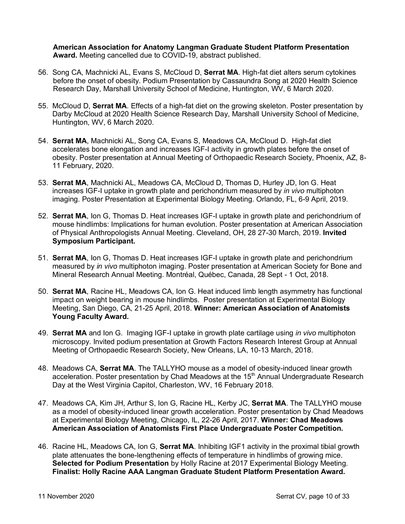**American Association for Anatomy Langman Graduate Student Platform Presentation Award.** Meeting cancelled due to COVID-19, abstract published.

- 56. Song CA, Machnicki AL, Evans S, McCloud D, **Serrat MA**. High-fat diet alters serum cytokines before the onset of obesity. Podium Presentation by Cassaundra Song at 2020 Health Science Research Day, Marshall University School of Medicine, Huntington, WV, 6 March 2020.
- 55. McCloud D, **Serrat MA**. Effects of a high-fat diet on the growing skeleton. Poster presentation by Darby McCloud at 2020 Health Science Research Day, Marshall University School of Medicine, Huntington, WV, 6 March 2020.
- 54. **Serrat MA**, Machnicki AL, Song CA, Evans S, Meadows CA, McCloud D. High-fat diet accelerates bone elongation and increases IGF-I activity in growth plates before the onset of obesity. Poster presentation at Annual Meeting of Orthopaedic Research Society, Phoenix, AZ, 8- 11 February, 2020.
- 53. **Serrat MA**, Machnicki AL, Meadows CA, McCloud D, Thomas D, Hurley JD, Ion G. Heat increases IGF-I uptake in growth plate and perichondrium measured by *in vivo* multiphoton imaging. Poster Presentation at Experimental Biology Meeting. Orlando, FL, 6-9 April, 2019.
- 52. **Serrat MA**, Ion G, Thomas D. Heat increases IGF-I uptake in growth plate and perichondrium of mouse hindlimbs: Implications for human evolution. Poster presentation at American Association of Physical Anthropologists Annual Meeting. Cleveland, OH, 28 27-30 March, 2019. **Invited Symposium Participant.**
- 51. **Serrat MA**, Ion G, Thomas D. Heat increases IGF-I uptake in growth plate and perichondrium measured by *in vivo* multiphoton imaging. Poster presentation at American Society for Bone and Mineral Research Annual Meeting. Montréal, Québec, Canada, 28 Sept - 1 Oct, 2018.
- 50. **Serrat MA**, Racine HL, Meadows CA, Ion G. Heat induced limb length asymmetry has functional impact on weight bearing in mouse hindlimbs. Poster presentation at Experimental Biology Meeting, San Diego, CA, 21-25 April, 2018. **Winner: American Association of Anatomists Young Faculty Award.**
- 49. **Serrat MA** and Ion G. Imaging IGF-I uptake in growth plate cartilage using *in vivo* multiphoton microscopy. Invited podium presentation at Growth Factors Research Interest Group at Annual Meeting of Orthopaedic Research Society, New Orleans, LA, 10-13 March, 2018.
- 48. Meadows CA, **Serrat MA**. The TALLYHO mouse as a model of obesity-induced linear growth acceleration. Poster presentation by Chad Meadows at the 15<sup>th</sup> Annual Undergraduate Research Day at the West Virginia Capitol, Charleston, WV, 16 February 2018.
- 47. Meadows CA, Kim JH, Arthur S, Ion G, Racine HL, Kerby JC, **Serrat MA**. The TALLYHO mouse as a model of obesity-induced linear growth acceleration. Poster presentation by Chad Meadows at Experimental Biology Meeting, Chicago, IL, 22-26 April, 2017. **Winner: Chad Meadows American Association of Anatomists First Place Undergraduate Poster Competition.**
- 46. Racine HL, Meadows CA, Ion G, **Serrat MA**. Inhibiting IGF1 activity in the proximal tibial growth plate attenuates the bone-lengthening effects of temperature in hindlimbs of growing mice. **Selected for Podium Presentation** by Holly Racine at 2017 Experimental Biology Meeting. **Finalist: Holly Racine AAA Langman Graduate Student Platform Presentation Award.**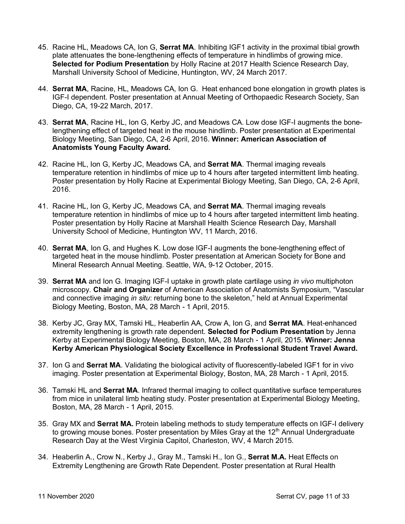- 45. Racine HL, Meadows CA, Ion G, **Serrat MA**. Inhibiting IGF1 activity in the proximal tibial growth plate attenuates the bone-lengthening effects of temperature in hindlimbs of growing mice. **Selected for Podium Presentation** by Holly Racine at 2017 Health Science Research Day, Marshall University School of Medicine, Huntington, WV, 24 March 2017.
- 44. **Serrat MA**, Racine, HL, Meadows CA, Ion G. Heat enhanced bone elongation in growth plates is IGF-I dependent. Poster presentation at Annual Meeting of Orthopaedic Research Society, San Diego, CA, 19-22 March, 2017.
- 43. **Serrat MA**, Racine HL, Ion G, Kerby JC, and Meadows CA. Low dose IGF-I augments the bonelengthening effect of targeted heat in the mouse hindlimb. Poster presentation at Experimental Biology Meeting, San Diego, CA, 2-6 April, 2016. **Winner: American Association of Anatomists Young Faculty Award.**
- 42. Racine HL, Ion G, Kerby JC, Meadows CA, and **Serrat MA**. Thermal imaging reveals temperature retention in hindlimbs of mice up to 4 hours after targeted intermittent limb heating. Poster presentation by Holly Racine at Experimental Biology Meeting, San Diego, CA, 2-6 April, 2016.
- 41. Racine HL, Ion G, Kerby JC, Meadows CA, and **Serrat MA**. Thermal imaging reveals temperature retention in hindlimbs of mice up to 4 hours after targeted intermittent limb heating. Poster presentation by Holly Racine at Marshall Health Science Research Day, Marshall University School of Medicine, Huntington WV, 11 March, 2016.
- 40. **Serrat MA**, Ion G, and Hughes K. Low dose IGF-I augments the bone-lengthening effect of targeted heat in the mouse hindlimb. Poster presentation at American Society for Bone and Mineral Research Annual Meeting. Seattle, WA, 9-12 October, 2015.
- 39. **Serrat MA** and Ion G. Imaging IGF-I uptake in growth plate cartilage using *in vivo* multiphoton microscopy. **Chair and Organizer** of American Association of Anatomists Symposium, "Vascular and connective imaging *in situ*: returning bone to the skeleton," held at Annual Experimental Biology Meeting, Boston, MA, 28 March - 1 April, 2015.
- 38. Kerby JC, Gray MX, Tamski HL, Heaberlin AA, Crow A, Ion G, and **Serrat MA**. Heat-enhanced extremity lengthening is growth rate dependent. **Selected for Podium Presentation** by Jenna Kerby at Experimental Biology Meeting, Boston, MA, 28 March - 1 April, 2015. **Winner: Jenna Kerby American Physiological Society Excellence in Professional Student Travel Award.**
- 37. Ion G and **Serrat MA**. Validating the biological activity of fluorescently-labeled IGF1 for in vivo imaging. Poster presentation at Experimental Biology, Boston, MA, 28 March - 1 April, 2015.
- 36. Tamski HL and **Serrat MA**. Infrared thermal imaging to collect quantitative surface temperatures from mice in unilateral limb heating study. Poster presentation at Experimental Biology Meeting, Boston, MA, 28 March - 1 April, 2015.
- 35. Gray MX and **Serrat MA.** Protein labeling methods to study temperature effects on IGF-I delivery to growing mouse bones. Poster presentation by Miles Gray at the  $12<sup>th</sup>$  Annual Undergraduate Research Day at the West Virginia Capitol, Charleston, WV, 4 March 2015.
- 34. Heaberlin A., Crow N., Kerby J., Gray M., Tamski H., Ion G., **Serrat M.A.** Heat Effects on Extremity Lengthening are Growth Rate Dependent. Poster presentation at Rural Health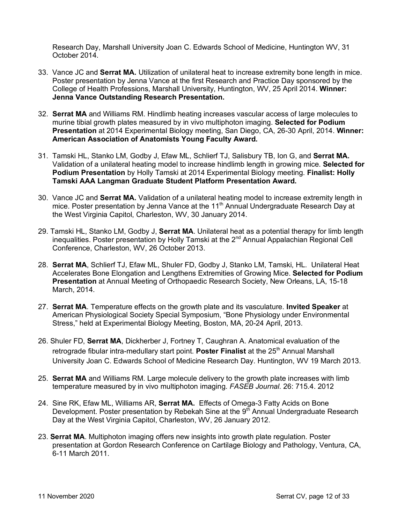Research Day, Marshall University Joan C. Edwards School of Medicine, Huntington WV, 31 October 2014.

- 33. Vance JC and **Serrat MA.** Utilization of unilateral heat to increase extremity bone length in mice. Poster presentation by Jenna Vance at the first Research and Practice Day sponsored by the College of Health Professions, Marshall University, Huntington, WV, 25 April 2014. **Winner: Jenna Vance Outstanding Research Presentation.**
- 32. **Serrat MA** and Williams RM. Hindlimb heating increases vascular access of large molecules to murine tibial growth plates measured by in vivo multiphoton imaging. **Selected for Podium Presentation** at 2014 Experimental Biology meeting, San Diego, CA, 26-30 April, 2014. **Winner: American Association of Anatomists Young Faculty Award.**
- 31. Tamski HL, Stanko LM, Godby J, Efaw ML, Schlierf TJ, Salisbury TB, Ion G, and **Serrat MA.** Validation of a unilateral heating model to increase hindlimb length in growing mice. **Selected for Podium Presentation** by Holly Tamski at 2014 Experimental Biology meeting. **Finalist: Holly Tamski AAA Langman Graduate Student Platform Presentation Award.**
- 30. Vance JC and **Serrat MA.** Validation of a unilateral heating model to increase extremity length in mice. Poster presentation by Jenna Vance at the 11<sup>th</sup> Annual Undergraduate Research Day at the West Virginia Capitol, Charleston, WV, 30 January 2014.
- 29. Tamski HL, Stanko LM, Godby J, **Serrat MA**. Unilateral heat as a potential therapy for limb length inequalities. Poster presentation by Holly Tamski at the  $2<sup>nd</sup>$  Annual Appalachian Regional Cell Conference, Charleston, WV, 26 October 2013.
- 28. **Serrat MA**, Schlierf TJ, Efaw ML, Shuler FD, Godby J, Stanko LM, Tamski, HL. Unilateral Heat Accelerates Bone Elongation and Lengthens Extremities of Growing Mice. **Selected for Podium Presentation** at Annual Meeting of Orthopaedic Research Society, New Orleans, LA, 15-18 March, 2014.
- 27. **Serrat MA**. Temperature effects on the growth plate and its vasculature. **Invited Speaker** at American Physiological Society Special Symposium, "Bone Physiology under Environmental Stress," held at Experimental Biology Meeting, Boston, MA, 20-24 April, 2013.
- 26. Shuler FD, **Serrat MA**, Dickherber J, Fortney T, Caughran A. Anatomical evaluation of the retrograde fibular intra-medullary start point. **Poster Finalist** at the 25<sup>th</sup> Annual Marshall University Joan C. Edwards School of Medicine Research Day. Huntington, WV 19 March 2013.
- 25. **Serrat MA** and Williams RM. Large molecule delivery to the growth plate increases with limb temperature measured by in vivo multiphoton imaging. *FASEB Journal.* 26: 715.4. 2012
- 24. Sine RK, Efaw ML, Williams AR, **Serrat MA.** Effects of Omega-3 Fatty Acids on Bone Development. Poster presentation by Rebekah Sine at the 9<sup>th</sup> Annual Undergraduate Research Day at the West Virginia Capitol, Charleston, WV, 26 January 2012.
- 23. **Serrat MA**. Multiphoton imaging offers new insights into growth plate regulation. Poster presentation at Gordon Research Conference on Cartilage Biology and Pathology, Ventura, CA, 6-11 March 2011.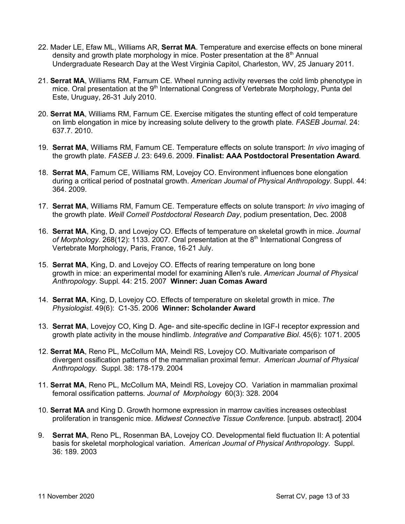- 22. Mader LE, Efaw ML, Williams AR, **Serrat MA**. Temperature and exercise effects on bone mineral density and growth plate morphology in mice. Poster presentation at the  $8<sup>th</sup>$  Annual Undergraduate Research Day at the West Virginia Capitol, Charleston, WV, 25 January 2011.
- 21. **Serrat MA**, Williams RM, Farnum CE. Wheel running activity reverses the cold limb phenotype in mice. Oral presentation at the 9<sup>th</sup> International Congress of Vertebrate Morphology, Punta del Este, Uruguay, 26-31 July 2010.
- 20. **Serrat MA**, Williams RM, Farnum CE. Exercise mitigates the stunting effect of cold temperature on limb elongation in mice by increasing solute delivery to the growth plate. *FASEB Journal*. 24: 637.7. 2010.
- 19. **Serrat MA**, Williams RM, Farnum CE. Temperature effects on solute transport: *In vivo* imaging of the growth plate. *FASEB J*. 23: 649.6. 2009. **Finalist: AAA Postdoctoral Presentation Award**.
- 18. **Serrat MA**, Farnum CE, Williams RM, Lovejoy CO. Environment influences bone elongation during a critical period of postnatal growth. *American Journal of Physical Anthropology*. Suppl. 44: 364. 2009.
- 17. **Serrat MA**, Williams RM, Farnum CE. Temperature effects on solute transport: *In vivo* imaging of the growth plate. *Weill Cornell Postdoctoral Research Day*, podium presentation, Dec. 2008
- 16. **Serrat MA**, King, D. and Lovejoy CO. Effects of temperature on skeletal growth in mice. *Journal of Morphology*. 268(12): 1133. 2007. Oral presentation at the 8th International Congress of Vertebrate Morphology, Paris, France, 16-21 July.
- 15. **Serrat MA**, King, D. and Lovejoy CO. Effects of rearing temperature on long bone growth in mice: an experimental model for examining Allen's rule. *American Journal of Physical Anthropology*. Suppl. 44: 215. 2007 **Winner: Juan Comas Award**
- 14. **Serrat MA**, King, D, Lovejoy CO. Effects of temperature on skeletal growth in mice. *The Physiologist*. 49(6): C1-35. 2006 **Winner: Scholander Award**
- 13. **Serrat MA**, Lovejoy CO, King D. Age- and site-specific decline in IGF-I receptor expression and growth plate activity in the mouse hindlimb. *Integrative and Comparative Biol*. 45(6): 1071. 2005
- 12. **Serrat MA**, Reno PL, McCollum MA, Meindl RS, Lovejoy CO. Multivariate comparison of divergent ossification patterns of the mammalian proximal femur. *American Journal of Physical Anthropology.* Suppl. 38: 178-179. 2004
- 11. **Serrat MA**, Reno PL, McCollum MA, Meindl RS, Lovejoy CO. Variation in mammalian proximal femoral ossification patterns. *Journal of Morphology* 60(3): 328. 2004
- 10. **Serrat MA** and King D. Growth hormone expression in marrow cavities increases osteoblast proliferation in transgenic mice. *Midwest Connective Tissue Conference*. [unpub. abstract]. 2004
- 9. **Serrat MA**, Reno PL, Rosenman BA, Lovejoy CO. Developmental field fluctuation II: A potential basis for skeletal morphological variation. *American Journal of Physical Anthropology*. Suppl. 36: 189. 2003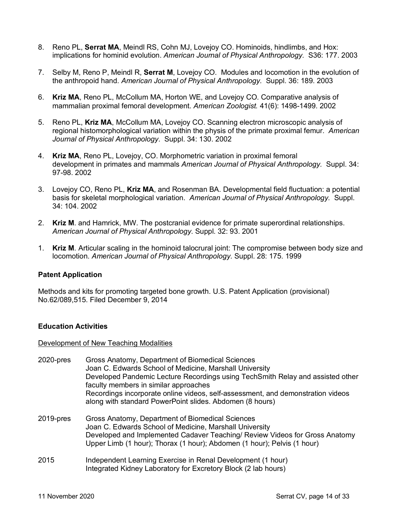- 8. Reno PL, **Serrat MA**, Meindl RS, Cohn MJ, Lovejoy CO. Hominoids, hindlimbs, and Hox: implications for hominid evolution. *American Journal of Physical Anthropology.* S36: 177. 2003
- 7. Selby M, Reno P, Meindl R, **Serrat M**, Lovejoy CO. Modules and locomotion in the evolution of the anthropoid hand. *American Journal of Physical Anthropology.* Suppl. 36: 189. 2003
- 6. **Kriz MA**, Reno PL, McCollum MA, Horton WE, and Lovejoy CO. Comparative analysis of mammalian proximal femoral development. *American Zoologist.* 41(6): 1498-1499. 2002
- 5. Reno PL, **Kriz MA**, McCollum MA, Lovejoy CO. Scanning electron microscopic analysis of regional histomorphological variation within the physis of the primate proximal femur. *American Journal of Physical Anthropology*. Suppl. 34: 130. 2002
- 4. **Kriz MA**, Reno PL, Lovejoy, CO. Morphometric variation in proximal femoral development in primates and mammals *American Journal of Physical Anthropology.* Suppl. 34: 97-98. 2002
- 3. Lovejoy CO, Reno PL, **Kriz MA**, and Rosenman BA. Developmental field fluctuation: a potential basis for skeletal morphological variation. *American Journal of Physical Anthropology.* Suppl. 34: 104. 2002
- 2. **Kriz M**. and Hamrick, MW. The postcranial evidence for primate superordinal relationships. *American Journal of Physical Anthropology*. Suppl. 32: 93. 2001
- 1. **Kriz M**. Articular scaling in the hominoid talocrural joint: The compromise between body size and locomotion. *American Journal of Physical Anthropology*. Suppl. 28: 175. 1999

#### **Patent Application**

Methods and kits for promoting targeted bone growth. U.S. Patent Application (provisional) No.62/089,515. Filed December 9, 2014

#### **Education Activities**

Development of New Teaching Modalities

| 2020-pres | Gross Anatomy, Department of Biomedical Sciences<br>Joan C. Edwards School of Medicine, Marshall University<br>Developed Pandemic Lecture Recordings using TechSmith Relay and assisted other<br>faculty members in similar approaches<br>Recordings incorporate online videos, self-assessment, and demonstration videos<br>along with standard PowerPoint slides. Abdomen (8 hours) |
|-----------|---------------------------------------------------------------------------------------------------------------------------------------------------------------------------------------------------------------------------------------------------------------------------------------------------------------------------------------------------------------------------------------|
| 2019-pres | Gross Anatomy, Department of Biomedical Sciences<br>Loan C. Edwards School of Medicine, Marshall University                                                                                                                                                                                                                                                                           |

- Edwards School of Medicine, Marshall Unive Developed and Implemented Cadaver Teaching/ Review Videos for Gross Anatomy Upper Limb (1 hour); Thorax (1 hour); Abdomen (1 hour); Pelvis (1 hour)
- 2015 Independent Learning Exercise in Renal Development (1 hour) Integrated Kidney Laboratory for Excretory Block (2 lab hours)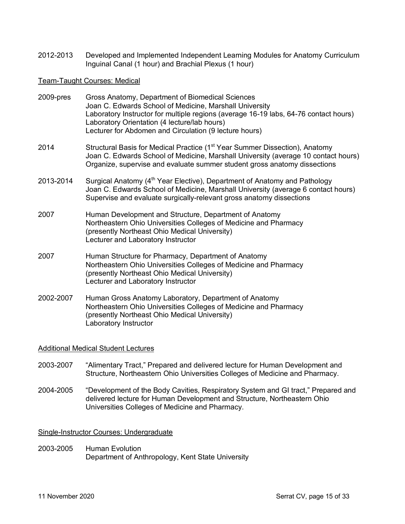2012-2013 Developed and Implemented Independent Learning Modules for Anatomy Curriculum Inguinal Canal (1 hour) and Brachial Plexus (1 hour)

#### Team-Taught Courses: Medical

| 2009-pres | Gross Anatomy, Department of Biomedical Sciences<br>Joan C. Edwards School of Medicine, Marshall University<br>Laboratory Instructor for multiple regions (average 16-19 labs, 64-76 contact hours)<br>Laboratory Orientation (4 lecture/lab hours)<br>Lecturer for Abdomen and Circulation (9 lecture hours) |  |  |  |  |  |
|-----------|---------------------------------------------------------------------------------------------------------------------------------------------------------------------------------------------------------------------------------------------------------------------------------------------------------------|--|--|--|--|--|
| 2014      | Structural Basis for Medical Practice (1 <sup>st</sup> Year Summer Dissection), Anatomy<br>Joan C. Edwards School of Medicine, Marshall University (average 10 contact hours)<br>Organize, supervise and evaluate summer student gross anatomy dissections                                                    |  |  |  |  |  |
| 2013-2014 | Surgical Anatomy (4 <sup>th</sup> Year Elective), Department of Anatomy and Pathology<br>Joan C. Edwards School of Medicine, Marshall University (average 6 contact hours)<br>Supervise and evaluate surgically-relevant gross anatomy dissections                                                            |  |  |  |  |  |
| 2007      | Human Development and Structure, Department of Anatomy<br>Northeastern Ohio Universities Colleges of Medicine and Pharmacy<br>(presently Northeast Ohio Medical University)<br>Lecturer and Laboratory Instructor                                                                                             |  |  |  |  |  |
| 2007      | Human Structure for Pharmacy, Department of Anatomy<br>Northeastern Ohio Universities Colleges of Medicine and Pharmacy<br>(presently Northeast Ohio Medical University)<br>Lecturer and Laboratory Instructor                                                                                                |  |  |  |  |  |
| 2002-2007 | Human Gross Anatomy Laboratory, Department of Anatomy<br>Northeastern Ohio Universities Colleges of Medicine and Pharmacy<br>(presently Northeast Ohio Medical University)<br>Laboratory Instructor                                                                                                           |  |  |  |  |  |

#### Additional Medical Student Lectures

- 2003-2007 "Alimentary Tract," Prepared and delivered lecture for Human Development and Structure, Northeastern Ohio Universities Colleges of Medicine and Pharmacy.
- 2004-2005 "Development of the Body Cavities, Respiratory System and GI tract," Prepared and delivered lecture for Human Development and Structure, Northeastern Ohio Universities Colleges of Medicine and Pharmacy.

#### Single-Instructor Courses: Undergraduate

2003-2005 Human Evolution Department of Anthropology, Kent State University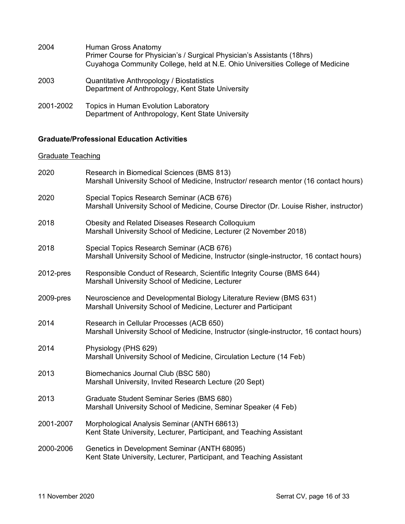| 2004      | Human Gross Anatomy<br>Primer Course for Physician's / Surgical Physician's Assistants (18hrs)<br>Cuyahoga Community College, held at N.E. Ohio Universities College of Medicine |
|-----------|----------------------------------------------------------------------------------------------------------------------------------------------------------------------------------|
| 2003      | Quantitative Anthropology / Biostatistics<br>Department of Anthropology, Kent State University                                                                                   |
| 2001-2002 | Topics in Human Evolution Laboratory<br>Department of Anthropology, Kent State University                                                                                        |

## **Graduate/Professional Education Activities**

## Graduate Teaching

| 2020         | Research in Biomedical Sciences (BMS 813)<br>Marshall University School of Medicine, Instructor/ research mentor (16 contact hours)    |  |  |  |  |  |
|--------------|----------------------------------------------------------------------------------------------------------------------------------------|--|--|--|--|--|
| 2020         | Special Topics Research Seminar (ACB 676)<br>Marshall University School of Medicine, Course Director (Dr. Louise Risher, instructor)   |  |  |  |  |  |
| 2018         | Obesity and Related Diseases Research Colloquium<br>Marshall University School of Medicine, Lecturer (2 November 2018)                 |  |  |  |  |  |
| 2018         | Special Topics Research Seminar (ACB 676)<br>Marshall University School of Medicine, Instructor (single-instructor, 16 contact hours)  |  |  |  |  |  |
| $2012$ -pres | Responsible Conduct of Research, Scientific Integrity Course (BMS 644)<br>Marshall University School of Medicine, Lecturer             |  |  |  |  |  |
| 2009-pres    | Neuroscience and Developmental Biology Literature Review (BMS 631)<br>Marshall University School of Medicine, Lecturer and Participant |  |  |  |  |  |
| 2014         | Research in Cellular Processes (ACB 650)<br>Marshall University School of Medicine, Instructor (single-instructor, 16 contact hours)   |  |  |  |  |  |
| 2014         | Physiology (PHS 629)<br>Marshall University School of Medicine, Circulation Lecture (14 Feb)                                           |  |  |  |  |  |
| 2013         | Biomechanics Journal Club (BSC 580)<br>Marshall University, Invited Research Lecture (20 Sept)                                         |  |  |  |  |  |
| 2013         | Graduate Student Seminar Series (BMS 680)<br>Marshall University School of Medicine, Seminar Speaker (4 Feb)                           |  |  |  |  |  |
| 2001-2007    | Morphological Analysis Seminar (ANTH 68613)<br>Kent State University, Lecturer, Participant, and Teaching Assistant                    |  |  |  |  |  |
| 2000-2006    | Genetics in Development Seminar (ANTH 68095)<br>Kent State University, Lecturer, Participant, and Teaching Assistant                   |  |  |  |  |  |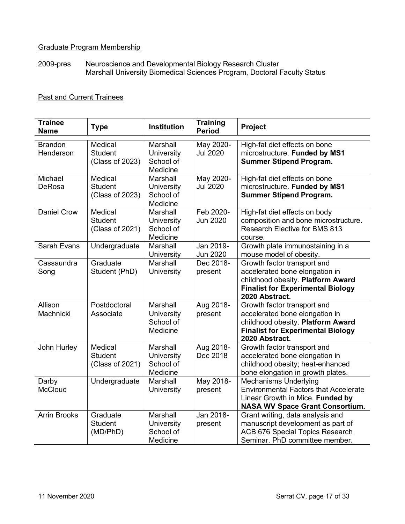## Graduate Program Membership

2009-pres Neuroscience and Developmental Biology Research Cluster Marshall University Biomedical Sciences Program, Doctoral Faculty Status

## Past and Current Trainees

| <b>Trainee</b><br><b>Name</b> | <b>Type</b>                                  | <b>Institution</b>                              | <b>Training</b><br><b>Period</b> | Project                                                                                                                                                          |
|-------------------------------|----------------------------------------------|-------------------------------------------------|----------------------------------|------------------------------------------------------------------------------------------------------------------------------------------------------------------|
| <b>Brandon</b><br>Henderson   | Medical<br><b>Student</b><br>(Class of 2023) | Marshall<br>University<br>School of<br>Medicine | May 2020-<br><b>Jul 2020</b>     | High-fat diet effects on bone<br>microstructure. Funded by MS1<br><b>Summer Stipend Program.</b>                                                                 |
| Michael<br>DeRosa             | Medical<br><b>Student</b><br>(Class of 2023) | Marshall<br>University<br>School of<br>Medicine | May 2020-<br><b>Jul 2020</b>     | High-fat diet effects on bone<br>microstructure. Funded by MS1<br><b>Summer Stipend Program.</b>                                                                 |
| <b>Daniel Crow</b>            | Medical<br><b>Student</b><br>(Class of 2021) | Marshall<br>University<br>School of<br>Medicine | Feb 2020-<br><b>Jun 2020</b>     | High-fat diet effects on body<br>composition and bone microstructure.<br>Research Elective for BMS 813<br>course.                                                |
| Sarah Evans                   | Undergraduate                                | Marshall<br>University                          | Jan 2019-<br>Jun 2020            | Growth plate immunostaining in a<br>mouse model of obesity.                                                                                                      |
| Cassaundra<br>Song            | Graduate<br>Student (PhD)                    | Marshall<br>University                          | Dec 2018-<br>present             | Growth factor transport and<br>accelerated bone elongation in<br>childhood obesity. Platform Award<br><b>Finalist for Experimental Biology</b><br>2020 Abstract. |
| Allison<br>Machnicki          | Postdoctoral<br>Associate                    | Marshall<br>University<br>School of<br>Medicine | Aug 2018-<br>present             | Growth factor transport and<br>accelerated bone elongation in<br>childhood obesity. Platform Award<br><b>Finalist for Experimental Biology</b><br>2020 Abstract. |
| John Hurley                   | Medical<br><b>Student</b><br>(Class of 2021) | Marshall<br>University<br>School of<br>Medicine | Aug 2018-<br>Dec 2018            | Growth factor transport and<br>accelerated bone elongation in<br>childhood obesity; heat-enhanced<br>bone elongation in growth plates.                           |
| Darby<br><b>McCloud</b>       | Undergraduate                                | Marshall<br>University                          | May 2018-<br>present             | Mechanisms Underlying<br><b>Environmental Factors that Accelerate</b><br>Linear Growth in Mice. Funded by<br><b>NASA WV Space Grant Consortium.</b>              |
| <b>Arrin Brooks</b>           | Graduate<br><b>Student</b><br>(MD/PhD)       | Marshall<br>University<br>School of<br>Medicine | Jan 2018-<br>present             | Grant writing, data analysis and<br>manuscript development as part of<br><b>ACB 676 Special Topics Research</b><br>Seminar. PhD committee member.                |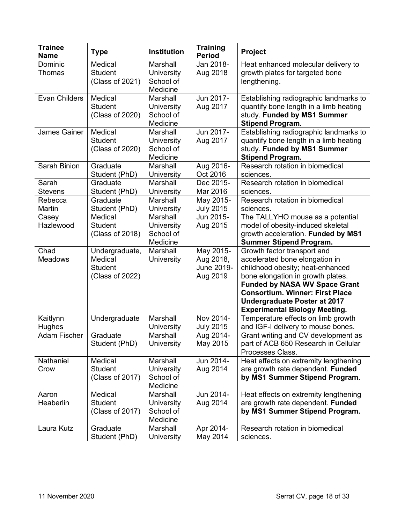| <b>Trainee</b><br><b>Name</b> | <b>Type</b>               | <b>Institution</b>     | <b>Training</b><br><b>Period</b> | Project                                                                     |
|-------------------------------|---------------------------|------------------------|----------------------------------|-----------------------------------------------------------------------------|
| Dominic                       | Medical                   | Marshall               | Jan 2018-                        | Heat enhanced molecular delivery to                                         |
| Thomas                        | <b>Student</b>            | University             | Aug 2018                         | growth plates for targeted bone                                             |
|                               | (Class of 2021)           | School of              |                                  | lengthening.                                                                |
|                               |                           | Medicine               |                                  |                                                                             |
| Evan Childers                 | Medical                   | Marshall               | Jun 2017-                        | Establishing radiographic landmarks to                                      |
|                               | <b>Student</b>            | University             | Aug 2017                         | quantify bone length in a limb heating                                      |
|                               | (Class of 2020)           | School of              |                                  | study. Funded by MS1 Summer                                                 |
|                               |                           | Medicine               |                                  | <b>Stipend Program.</b>                                                     |
| James Gainer                  | Medical                   | Marshall               | Jun 2017-                        | Establishing radiographic landmarks to                                      |
|                               | <b>Student</b>            | University             | Aug 2017                         | quantify bone length in a limb heating                                      |
|                               | (Class of 2020)           | School of              |                                  | study. Funded by MS1 Summer                                                 |
|                               | Graduate                  | Medicine<br>Marshall   |                                  | <b>Stipend Program.</b><br>Research rotation in biomedical                  |
| Sarah Binion                  | Student (PhD)             | University             | Aug 2016-<br>Oct 2016            | sciences.                                                                   |
| Sarah                         | Graduate                  | Marshall               | Dec 2015-                        | Research rotation in biomedical                                             |
| <b>Stevens</b>                | Student (PhD)             | University             | Mar 2016                         | sciences.                                                                   |
| Rebecca                       | Graduate                  | Marshall               | May 2015-                        | Research rotation in biomedical                                             |
| Martin                        | Student (PhD)             | University             | <b>July 2015</b>                 | sciences.                                                                   |
| Casey                         | Medical                   | Marshall               | Jun 2015-                        | The TALLYHO mouse as a potential                                            |
| Hazlewood                     | <b>Student</b>            | <b>University</b>      | Aug 2015                         | model of obesity-induced skeletal                                           |
|                               | (Class of 2018)           | School of              |                                  | growth acceleration. Funded by MS1                                          |
|                               |                           | Medicine               |                                  | <b>Summer Stipend Program.</b>                                              |
| Chad                          | Undergraduate,            | Marshall               | May 2015-                        | Growth factor transport and                                                 |
| <b>Meadows</b>                | Medical                   | <b>University</b>      | Aug 2018,                        | accelerated bone elongation in                                              |
|                               | <b>Student</b>            |                        | June 2019-                       | childhood obesity; heat-enhanced                                            |
|                               | (Class of 2022)           |                        | Aug 2019                         | bone elongation in growth plates.                                           |
|                               |                           |                        |                                  | <b>Funded by NASA WV Space Grant</b>                                        |
|                               |                           |                        |                                  | <b>Consortium. Winner: First Place</b>                                      |
|                               |                           |                        |                                  | <b>Undergraduate Poster at 2017</b>                                         |
|                               |                           |                        |                                  | <b>Experimental Biology Meeting.</b>                                        |
| Kaitlynn                      | Undergraduate             | Marshall               | Nov 2014-                        | Temperature effects on limb growth                                          |
| Hughes                        |                           | University             | <b>July 2015</b>                 | and IGF-I delivery to mouse bones.                                          |
| Adam Fischer                  | Graduate<br>Student (PhD) | Marshall<br>University | Aug 2014-<br>May 2015            | Grant writing and CV development as<br>part of ACB 650 Research in Cellular |
|                               |                           |                        |                                  | Processes Class.                                                            |
| Nathaniel                     | Medical                   | Marshall               | Jun 2014-                        | Heat effects on extremity lengthening                                       |
| Crow                          | <b>Student</b>            | <b>University</b>      | Aug 2014                         | are growth rate dependent. Funded                                           |
|                               | (Class of 2017)           | School of              |                                  | by MS1 Summer Stipend Program.                                              |
|                               |                           | Medicine               |                                  |                                                                             |
| Aaron                         | Medical                   | Marshall               | Jun 2014-                        | Heat effects on extremity lengthening                                       |
| Heaberlin                     | <b>Student</b>            | University             | Aug 2014                         | are growth rate dependent. Funded                                           |
|                               | (Class of 2017)           | School of              |                                  | by MS1 Summer Stipend Program.                                              |
|                               |                           | Medicine               |                                  |                                                                             |
| Laura Kutz                    | Graduate                  | Marshall               | Apr 2014-                        | Research rotation in biomedical                                             |
|                               | Student (PhD)             | University             | May 2014                         | sciences.                                                                   |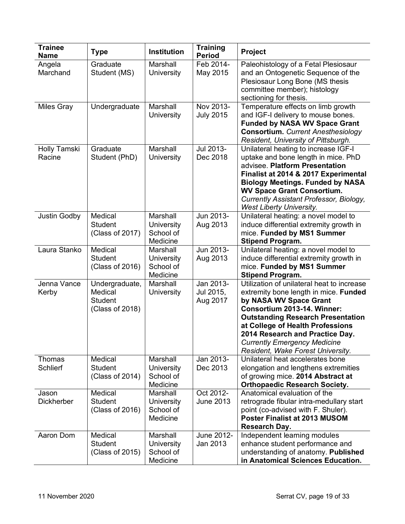| <b>Trainee</b><br><b>Name</b> | <b>Type</b>                                                    | <b>Institution</b>                                     | <b>Training</b><br><b>Period</b>   | Project                                                                                                                                                                                                                                                                                                                                     |
|-------------------------------|----------------------------------------------------------------|--------------------------------------------------------|------------------------------------|---------------------------------------------------------------------------------------------------------------------------------------------------------------------------------------------------------------------------------------------------------------------------------------------------------------------------------------------|
| Angela<br>Marchand            | Graduate<br>Student (MS)                                       | Marshall<br>University                                 | Feb 2014-<br>May 2015              | Paleohistology of a Fetal Plesiosaur<br>and an Ontogenetic Sequence of the<br>Plesiosaur Long Bone (MS thesis<br>committee member); histology<br>sectioning for thesis.                                                                                                                                                                     |
| <b>Miles Gray</b>             | Undergraduate                                                  | Marshall<br>University                                 | Nov 2013-<br><b>July 2015</b>      | Temperature effects on limb growth<br>and IGF-I delivery to mouse bones.<br><b>Funded by NASA WV Space Grant</b><br><b>Consortium.</b> Current Anesthesiology<br>Resident, University of Pittsburgh.                                                                                                                                        |
| Holly Tamski<br>Racine        | Graduate<br>Student (PhD)                                      | Marshall<br>University                                 | Jul 2013-<br>Dec 2018              | Unilateral heating to increase IGF-I<br>uptake and bone length in mice. PhD<br>advisee. Platform Presentation<br>Finalist at 2014 & 2017 Experimental<br><b>Biology Meetings. Funded by NASA</b><br><b>WV Space Grant Consortium.</b><br>Currently Assistant Professor, Biology,<br><b>West Liberty University.</b>                         |
| Justin Godby                  | Medical<br>Student<br>(Class of 2017)                          | Marshall<br>University<br>School of<br>Medicine        | Jun 2013-<br>Aug 2013              | Unilateral heating: a novel model to<br>induce differential extremity growth in<br>mice. Funded by MS1 Summer<br><b>Stipend Program.</b>                                                                                                                                                                                                    |
| Laura Stanko                  | Medical<br><b>Student</b><br>(Class of 2016)                   | Marshall<br>University<br>School of<br>Medicine        | Jun 2013-<br>Aug 2013              | Unilateral heating: a novel model to<br>induce differential extremity growth in<br>mice. Funded by MS1 Summer<br><b>Stipend Program.</b>                                                                                                                                                                                                    |
| Jenna Vance<br>Kerby          | Undergraduate,<br>Medical<br><b>Student</b><br>(Class of 2018) | Marshall<br>University                                 | Jan 2013-<br>Jul 2015,<br>Aug 2017 | Utilization of unilateral heat to increase<br>extremity bone length in mice. Funded<br>by NASA WV Space Grant<br>Consortium 2013-14. Winner:<br><b>Outstanding Research Presentation</b><br>at College of Health Professions<br>2014 Research and Practice Day.<br><b>Currently Emergency Medicine</b><br>Resident, Wake Forest University. |
| Thomas<br><b>Schlierf</b>     | Medical<br><b>Student</b><br>(Class of 2014)                   | Marshall<br><b>University</b><br>School of<br>Medicine | Jan 2013-<br>Dec 2013              | Unilateral heat accelerates bone<br>elongation and lengthens extremities<br>of growing mice. 2014 Abstract at<br><b>Orthopaedic Research Society.</b>                                                                                                                                                                                       |
| Jason<br><b>Dickherber</b>    | Medical<br><b>Student</b><br>(Class of 2016)                   | Marshall<br><b>University</b><br>School of<br>Medicine | Oct 2012-<br><b>June 2013</b>      | Anatomical evaluation of the<br>retrograde fibular intra-medullary start<br>point (co-advised with F. Shuler).<br>Poster Finalist at 2013 MUSOM<br><b>Research Day.</b>                                                                                                                                                                     |
| Aaron Dom                     | Medical<br><b>Student</b><br>(Class of 2015)                   | Marshall<br>University<br>School of<br>Medicine        | June 2012-<br>Jan 2013             | Independent learning modules<br>enhance student performance and<br>understanding of anatomy. Published<br>in Anatomical Sciences Education.                                                                                                                                                                                                 |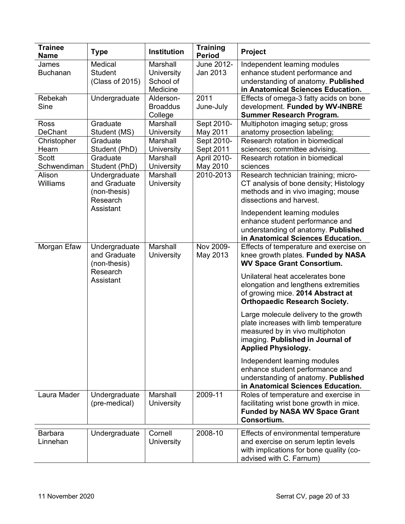| <b>Trainee</b><br><b>Name</b> | <b>Type</b>                                               | <b>Institution</b>                              | <b>Training</b><br><b>Period</b> | Project                                                                                                                                                                             |
|-------------------------------|-----------------------------------------------------------|-------------------------------------------------|----------------------------------|-------------------------------------------------------------------------------------------------------------------------------------------------------------------------------------|
| James<br><b>Buchanan</b>      | Medical<br><b>Student</b><br>(Class of 2015)              | Marshall<br>University<br>School of<br>Medicine | June 2012-<br>Jan 2013           | Independent learning modules<br>enhance student performance and<br>understanding of anatomy. Published<br>in Anatomical Sciences Education.                                         |
| Rebekah<br>Sine               | Undergraduate                                             | Alderson-<br><b>Broaddus</b><br>College         | 2011<br>June-July                | Effects of omega-3 fatty acids on bone<br>development. Funded by WV-INBRE<br><b>Summer Research Program.</b>                                                                        |
| Ross<br><b>DeChant</b>        | Graduate<br>Student (MS)                                  | Marshall<br>University                          | Sept 2010-<br>May 2011           | Multiphoton imaging setup; gross<br>anatomy prosection labeling;                                                                                                                    |
| Christopher<br>Hearn          | Graduate<br>Student (PhD)                                 | Marshall<br>University                          | Sept 2010-<br>Sept 2011          | Research rotation in biomedical<br>sciences; committee advising.                                                                                                                    |
| Scott<br>Schwendiman          | Graduate<br>Student (PhD)                                 | Marshall<br>University                          | April 2010-<br>May 2010          | Research rotation in biomedical<br>sciences                                                                                                                                         |
| Alison<br>Williams            | Undergraduate<br>and Graduate<br>(non-thesis)<br>Research | Marshall<br>University                          | 2010-2013                        | Research technician training; micro-<br>CT analysis of bone density; Histology<br>methods and in vivo imaging; mouse<br>dissections and harvest.                                    |
|                               | Assistant                                                 |                                                 |                                  | Independent learning modules<br>enhance student performance and<br>understanding of anatomy. Published<br>in Anatomical Sciences Education.                                         |
| Morgan Efaw                   | Undergraduate<br>and Graduate<br>(non-thesis)             | Marshall<br><b>University</b>                   | Nov 2009-<br>May 2013            | Effects of temperature and exercise on<br>knee growth plates. Funded by NASA<br><b>WV Space Grant Consortium.</b>                                                                   |
|                               | Research<br>Assistant                                     |                                                 |                                  | Unilateral heat accelerates bone<br>elongation and lengthens extremities<br>of growing mice. 2014 Abstract at<br><b>Orthopaedic Research Society.</b>                               |
|                               |                                                           |                                                 |                                  | Large molecule delivery to the growth<br>plate increases with limb temperature<br>measured by in vivo multiphoton<br>imaging. Published in Journal of<br><b>Applied Physiology.</b> |
|                               |                                                           |                                                 |                                  | Independent learning modules<br>enhance student performance and<br>understanding of anatomy. Published<br>in Anatomical Sciences Education.                                         |
| Laura Mader                   | Undergraduate<br>(pre-medical)                            | Marshall<br>University                          | 2009-11                          | Roles of temperature and exercise in<br>facilitating wrist bone growth in mice.<br><b>Funded by NASA WV Space Grant</b><br>Consortium.                                              |
| <b>Barbara</b><br>Linnehan    | Undergraduate                                             | Cornell<br>University                           | 2008-10                          | Effects of environmental temperature<br>and exercise on serum leptin levels<br>with implications for bone quality (co-<br>advised with C. Farnum)                                   |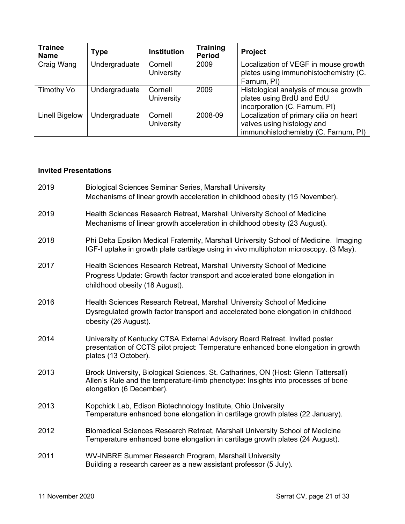| Trainee<br><b>Name</b> | Type          | <b>Institution</b>    | <b>Training</b><br><b>Period</b> | <b>Project</b>                                                                                               |
|------------------------|---------------|-----------------------|----------------------------------|--------------------------------------------------------------------------------------------------------------|
| Craig Wang             | Undergraduate | Cornell<br>University | 2009                             | Localization of VEGF in mouse growth<br>plates using immunohistochemistry (C.<br>Farnum, PI)                 |
| Timothy Vo             | Undergraduate | Cornell<br>University | 2009                             | Histological analysis of mouse growth<br>plates using BrdU and EdU<br>incorporation (C. Farnum, PI)          |
| <b>Linell Bigelow</b>  | Undergraduate | Cornell<br>University | 2008-09                          | Localization of primary cilia on heart<br>valves using histology and<br>immunohistochemistry (C. Farnum, PI) |

## **Invited Presentations**

| 2019 | <b>Biological Sciences Seminar Series, Marshall University</b><br>Mechanisms of linear growth acceleration in childhood obesity (15 November).                                                     |
|------|----------------------------------------------------------------------------------------------------------------------------------------------------------------------------------------------------|
| 2019 | Health Sciences Research Retreat, Marshall University School of Medicine<br>Mechanisms of linear growth acceleration in childhood obesity (23 August).                                             |
| 2018 | Phi Delta Epsilon Medical Fraternity, Marshall University School of Medicine. Imaging<br>IGF-I uptake in growth plate cartilage using in vivo multiphoton microscopy. (3 May).                     |
| 2017 | Health Sciences Research Retreat, Marshall University School of Medicine<br>Progress Update: Growth factor transport and accelerated bone elongation in<br>childhood obesity (18 August).          |
| 2016 | Health Sciences Research Retreat, Marshall University School of Medicine<br>Dysregulated growth factor transport and accelerated bone elongation in childhood<br>obesity (26 August).              |
| 2014 | University of Kentucky CTSA External Advisory Board Retreat. Invited poster<br>presentation of CCTS pilot project: Temperature enhanced bone elongation in growth<br>plates (13 October).          |
| 2013 | Brock University, Biological Sciences, St. Catharines, ON (Host: Glenn Tattersall)<br>Allen's Rule and the temperature-limb phenotype: Insights into processes of bone<br>elongation (6 December). |
| 2013 | Kopchick Lab, Edison Biotechnology Institute, Ohio University<br>Temperature enhanced bone elongation in cartilage growth plates (22 January).                                                     |
| 2012 | Biomedical Sciences Research Retreat, Marshall University School of Medicine<br>Temperature enhanced bone elongation in cartilage growth plates (24 August).                                       |
| 2011 | WV-INBRE Summer Research Program, Marshall University<br>Building a research career as a new assistant professor (5 July).                                                                         |
|      |                                                                                                                                                                                                    |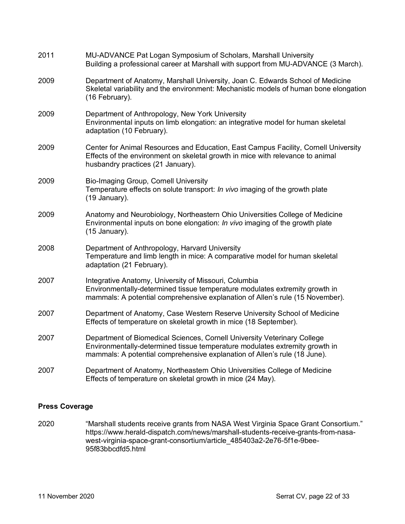| 2011 | MU-ADVANCE Pat Logan Symposium of Scholars, Marshall University<br>Building a professional career at Marshall with support from MU-ADVANCE (3 March).                                                                                |
|------|--------------------------------------------------------------------------------------------------------------------------------------------------------------------------------------------------------------------------------------|
| 2009 | Department of Anatomy, Marshall University, Joan C. Edwards School of Medicine<br>Skeletal variability and the environment: Mechanistic models of human bone elongation<br>(16 February).                                            |
| 2009 | Department of Anthropology, New York University<br>Environmental inputs on limb elongation: an integrative model for human skeletal<br>adaptation (10 February).                                                                     |
| 2009 | Center for Animal Resources and Education, East Campus Facility, Cornell University<br>Effects of the environment on skeletal growth in mice with relevance to animal<br>husbandry practices (21 January).                           |
| 2009 | <b>Bio-Imaging Group, Cornell University</b><br>Temperature effects on solute transport: In vivo imaging of the growth plate<br>(19 January).                                                                                        |
| 2009 | Anatomy and Neurobiology, Northeastern Ohio Universities College of Medicine<br>Environmental inputs on bone elongation: In vivo imaging of the growth plate<br>(15 January).                                                        |
| 2008 | Department of Anthropology, Harvard University<br>Temperature and limb length in mice: A comparative model for human skeletal<br>adaptation (21 February).                                                                           |
| 2007 | Integrative Anatomy, University of Missouri, Columbia<br>Environmentally-determined tissue temperature modulates extremity growth in<br>mammals: A potential comprehensive explanation of Allen's rule (15 November).                |
| 2007 | Department of Anatomy, Case Western Reserve University School of Medicine<br>Effects of temperature on skeletal growth in mice (18 September).                                                                                       |
| 2007 | Department of Biomedical Sciences, Cornell University Veterinary College<br>Environmentally-determined tissue temperature modulates extremity growth in<br>mammals: A potential comprehensive explanation of Allen's rule (18 June). |
| 2007 | Department of Anatomy, Northeastern Ohio Universities College of Medicine<br>Effects of temperature on skeletal growth in mice (24 May).                                                                                             |

## **Press Coverage**

2020 "Marshall students receive grants from NASA West Virginia Space Grant Consortium." https://www.herald-dispatch.com/news/marshall-students-receive-grants-from-nasawest-virginia-space-grant-consortium/article\_485403a2-2e76-5f1e-9bee-95f83bbcdfd5.html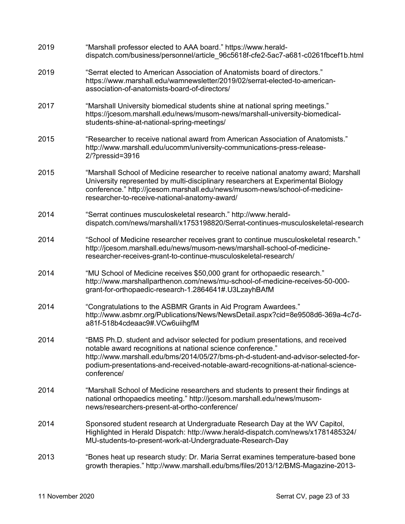| 2019 | "Marshall professor elected to AAA board." https://www.herald-<br>dispatch.com/business/personnel/article 96c5618f-cfe2-5ac7-a681-c0261fbcef1b.html                                                                                                                                                                                    |
|------|----------------------------------------------------------------------------------------------------------------------------------------------------------------------------------------------------------------------------------------------------------------------------------------------------------------------------------------|
| 2019 | "Serrat elected to American Association of Anatomists board of directors."<br>https://www.marshall.edu/wamnewsletter/2019/02/serrat-elected-to-american-<br>association-of-anatomists-board-of-directors/                                                                                                                              |
| 2017 | "Marshall University biomedical students shine at national spring meetings."<br>https://jcesom.marshall.edu/news/musom-news/marshall-university-biomedical-<br>students-shine-at-national-spring-meetings/                                                                                                                             |
| 2015 | "Researcher to receive national award from American Association of Anatomists."<br>http://www.marshall.edu/ucomm/university-communications-press-release-<br>$2$ ?pressid=3916                                                                                                                                                         |
| 2015 | "Marshall School of Medicine researcher to receive national anatomy award; Marshall<br>University represented by multi-disciplinary researchers at Experimental Biology<br>conference." http://jcesom.marshall.edu/news/musom-news/school-of-medicine-<br>researcher-to-receive-national-anatomy-award/                                |
| 2014 | "Serrat continues musculoskeletal research." http://www.herald-<br>dispatch.com/news/marshall/x1753198820/Serrat-continues-musculoskeletal-research                                                                                                                                                                                    |
| 2014 | "School of Medicine researcher receives grant to continue musculoskeletal research."<br>http://jcesom.marshall.edu/news/musom-news/marshall-school-of-medicine-<br>researcher-receives-grant-to-continue-musculoskeletal-research/                                                                                                     |
| 2014 | "MU School of Medicine receives \$50,000 grant for orthopaedic research."<br>http://www.marshallparthenon.com/news/mu-school-of-medicine-receives-50-000-<br>grant-for-orthopaedic-research-1.2864641#.U3LzayhBAfM                                                                                                                     |
| 2014 | "Congratulations to the ASBMR Grants in Aid Program Awardees."<br>http://www.asbmr.org/Publications/News/NewsDetail.aspx?cid=8e9508d6-369a-4c7d-<br>a81f-518b4cdeaac9#.VCw6uiihgfM                                                                                                                                                     |
| 2014 | "BMS Ph.D. student and advisor selected for podium presentations, and received<br>notable award recognitions at national science conference."<br>http://www.marshall.edu/bms/2014/05/27/bms-ph-d-student-and-advisor-selected-for-<br>podium-presentations-and-received-notable-award-recognitions-at-national-science-<br>conference/ |
| 2014 | "Marshall School of Medicine researchers and students to present their findings at<br>national orthopaedics meeting." http://jcesom.marshall.edu/news/musom-<br>news/researchers-present-at-ortho-conference/                                                                                                                          |
| 2014 | Sponsored student research at Undergraduate Research Day at the WV Capitol,<br>Highlighted in Herald Dispatch: http://www.herald-dispatch.com/news/x1781485324/<br>MU-students-to-present-work-at-Undergraduate-Research-Day                                                                                                           |
| 2013 | "Bones heat up research study: Dr. Maria Serrat examines temperature-based bone<br>growth therapies." http://www.marshall.edu/bms/files/2013/12/BMS-Magazine-2013-                                                                                                                                                                     |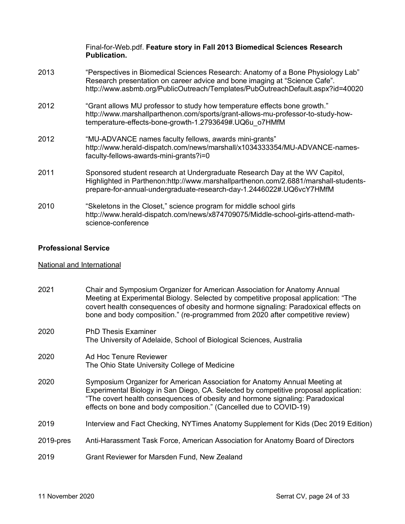|      | Final-for-Web.pdf. Feature story in Fall 2013 Biomedical Sciences Research<br><b>Publication.</b>                                                                                                                                                |
|------|--------------------------------------------------------------------------------------------------------------------------------------------------------------------------------------------------------------------------------------------------|
| 2013 | "Perspectives in Biomedical Sciences Research: Anatomy of a Bone Physiology Lab"<br>Research presentation on career advice and bone imaging at "Science Cafe".<br>http://www.asbmb.org/PublicOutreach/Templates/PubOutreachDefault.aspx?id=40020 |
| 2012 | "Grant allows MU professor to study how temperature effects bone growth."<br>http://www.marshallparthenon.com/sports/grant-allows-mu-professor-to-study-how-<br>temperature-effects-bone-growth-1.2793649#.UQ6u o7HMfM                           |
| 2012 | "MU-ADVANCE names faculty fellows, awards mini-grants"<br>http://www.herald-dispatch.com/news/marshall/x1034333354/MU-ADVANCE-names-<br>faculty-fellows-awards-mini-grants?i=0                                                                   |
| 2011 | Sponsored student research at Undergraduate Research Day at the WV Capitol,<br>Highlighted in Parthenon:http://www.marshallparthenon.com/2.6881/marshall-students-<br>prepare-for-annual-undergraduate-research-day-1.2446022#.UQ6vcY7HMfM       |
| 2010 | "Skeletons in the Closet," science program for middle school girls<br>http://www.herald-dispatch.com/news/x874709075/Middle-school-girls-attend-math-<br>science-conference                                                                      |

## **Professional Service**

## National and International

| 2021      | Chair and Symposium Organizer for American Association for Anatomy Annual<br>Meeting at Experimental Biology. Selected by competitive proposal application: "The<br>covert health consequences of obesity and hormone signaling: Paradoxical effects on<br>bone and body composition." (re-programmed from 2020 after competitive review) |
|-----------|-------------------------------------------------------------------------------------------------------------------------------------------------------------------------------------------------------------------------------------------------------------------------------------------------------------------------------------------|
| 2020      | <b>PhD Thesis Examiner</b><br>The University of Adelaide, School of Biological Sciences, Australia                                                                                                                                                                                                                                        |
| 2020      | Ad Hoc Tenure Reviewer<br>The Ohio State University College of Medicine                                                                                                                                                                                                                                                                   |
| 2020      | Symposium Organizer for American Association for Anatomy Annual Meeting at<br>Experimental Biology in San Diego, CA. Selected by competitive proposal application:<br>"The covert health consequences of obesity and hormone signaling: Paradoxical<br>effects on bone and body composition." (Cancelled due to COVID-19)                 |
| 2019      | Interview and Fact Checking, NYTimes Anatomy Supplement for Kids (Dec 2019 Edition)                                                                                                                                                                                                                                                       |
| 2019-pres | Anti-Harassment Task Force, American Association for Anatomy Board of Directors                                                                                                                                                                                                                                                           |
| 2019      | Grant Reviewer for Marsden Fund, New Zealand                                                                                                                                                                                                                                                                                              |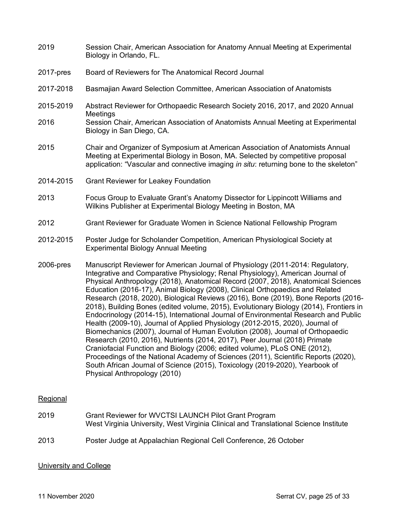- 2019 Session Chair, American Association for Anatomy Annual Meeting at Experimental Biology in Orlando, FL.
- 2017-pres Board of Reviewers for The Anatomical Record Journal
- 2017-2018 Basmajian Award Selection Committee, American Association of Anatomists
- 2015-2019 Abstract Reviewer for Orthopaedic Research Society 2016, 2017, and 2020 Annual **Meetings**
- 2016 Session Chair, American Association of Anatomists Annual Meeting at Experimental Biology in San Diego, CA.
- 2015 Chair and Organizer of Symposium at American Association of Anatomists Annual Meeting at Experimental Biology in Boson, MA. Selected by competitive proposal application: "Vascular and connective imaging *in situ*: returning bone to the skeleton"
- 2014-2015 Grant Reviewer for Leakey Foundation
- 2013 Focus Group to Evaluate Grant's Anatomy Dissector for Lippincott Williams and Wilkins Publisher at Experimental Biology Meeting in Boston, MA
- 2012 Grant Reviewer for Graduate Women in Science National Fellowship Program
- 2012-2015 Poster Judge for Scholander Competition, American Physiological Society at Experimental Biology Annual Meeting
- 2006-pres Manuscript Reviewer for American Journal of Physiology (2011-2014: Regulatory, Integrative and Comparative Physiology; Renal Physiology), American Journal of Physical Anthropology (2018), Anatomical Record (2007, 2018), Anatomical Sciences Education (2016-17), Animal Biology (2008), Clinical Orthopaedics and Related Research (2018, 2020), Biological Reviews (2016), Bone (2019), Bone Reports (2016- 2018), Building Bones (edited volume, 2015), Evolutionary Biology (2014), Frontiers in Endocrinology (2014-15), International Journal of Environmental Research and Public Health (2009-10), Journal of Applied Physiology (2012-2015, 2020), Journal of Biomechanics (2007), Journal of Human Evolution (2008), Journal of Orthopaedic Research (2010, 2016), Nutrients (2014, 2017), Peer Journal (2018) Primate Craniofacial Function and Biology (2006; edited volume), PLoS ONE (2012), Proceedings of the National Academy of Sciences (2011), Scientific Reports (2020), South African Journal of Science (2015), Toxicology (2019-2020), Yearbook of Physical Anthropology (2010)

#### Regional

2019 Grant Reviewer for WVCTSI LAUNCH Pilot Grant Program West Virginia University, West Virginia Clinical and Translational Science Institute 2013 Poster Judge at Appalachian Regional Cell Conference, 26 October

#### University and College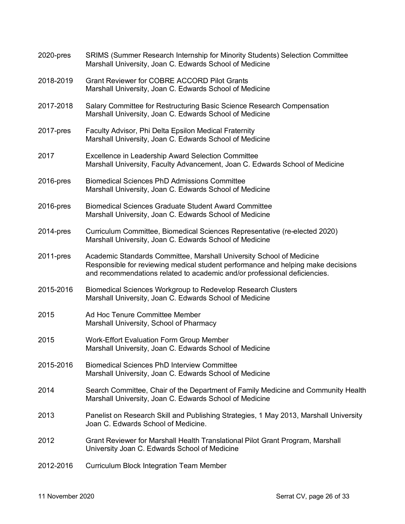| 2020-pres    | SRIMS (Summer Research Internship for Minority Students) Selection Committee<br>Marshall University, Joan C. Edwards School of Medicine                                                                                               |
|--------------|---------------------------------------------------------------------------------------------------------------------------------------------------------------------------------------------------------------------------------------|
| 2018-2019    | <b>Grant Reviewer for COBRE ACCORD Pilot Grants</b><br>Marshall University, Joan C. Edwards School of Medicine                                                                                                                        |
| 2017-2018    | Salary Committee for Restructuring Basic Science Research Compensation<br>Marshall University, Joan C. Edwards School of Medicine                                                                                                     |
| $2017$ -pres | Faculty Advisor, Phi Delta Epsilon Medical Fraternity<br>Marshall University, Joan C. Edwards School of Medicine                                                                                                                      |
| 2017         | <b>Excellence in Leadership Award Selection Committee</b><br>Marshall University, Faculty Advancement, Joan C. Edwards School of Medicine                                                                                             |
| 2016-pres    | <b>Biomedical Sciences PhD Admissions Committee</b><br>Marshall University, Joan C. Edwards School of Medicine                                                                                                                        |
| 2016-pres    | <b>Biomedical Sciences Graduate Student Award Committee</b><br>Marshall University, Joan C. Edwards School of Medicine                                                                                                                |
| $2014$ -pres | Curriculum Committee, Biomedical Sciences Representative (re-elected 2020)<br>Marshall University, Joan C. Edwards School of Medicine                                                                                                 |
| $2011$ -pres | Academic Standards Committee, Marshall University School of Medicine<br>Responsible for reviewing medical student performance and helping make decisions<br>and recommendations related to academic and/or professional deficiencies. |
| 2015-2016    | Biomedical Sciences Workgroup to Redevelop Research Clusters<br>Marshall University, Joan C. Edwards School of Medicine                                                                                                               |
| 2015         | Ad Hoc Tenure Committee Member<br>Marshall University, School of Pharmacy                                                                                                                                                             |
| 2015         | <b>Work-Effort Evaluation Form Group Member</b><br>Marshall University, Joan C. Edwards School of Medicine                                                                                                                            |
| 2015-2016    | <b>Biomedical Sciences PhD Interview Committee</b><br>Marshall University, Joan C. Edwards School of Medicine                                                                                                                         |
| 2014         | Search Committee, Chair of the Department of Family Medicine and Community Health<br>Marshall University, Joan C. Edwards School of Medicine                                                                                          |
| 2013         | Panelist on Research Skill and Publishing Strategies, 1 May 2013, Marshall University<br>Joan C. Edwards School of Medicine.                                                                                                          |
| 2012         | Grant Reviewer for Marshall Health Translational Pilot Grant Program, Marshall<br>University Joan C. Edwards School of Medicine                                                                                                       |
| 2012-2016    | <b>Curriculum Block Integration Team Member</b>                                                                                                                                                                                       |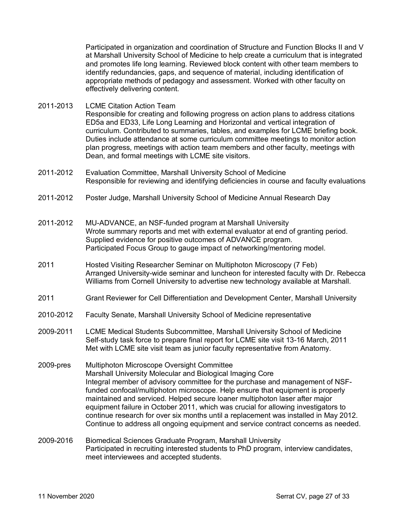Participated in organization and coordination of Structure and Function Blocks II and V at Marshall University School of Medicine to help create a curriculum that is integrated and promotes life long learning. Reviewed block content with other team members to identify redundancies, gaps, and sequence of material, including identification of appropriate methods of pedagogy and assessment. Worked with other faculty on effectively delivering content.

- 2011-2013 LCME Citation Action Team Responsible for creating and following progress on action plans to address citations ED5a and ED33, Life Long Learning and Horizontal and vertical integration of curriculum. Contributed to summaries, tables, and examples for LCME briefing book. Duties include attendance at some curriculum committee meetings to monitor action plan progress, meetings with action team members and other faculty, meetings with Dean, and formal meetings with LCME site visitors.
- 2011-2012 Evaluation Committee, Marshall University School of Medicine Responsible for reviewing and identifying deficiencies in course and faculty evaluations
- 2011-2012 Poster Judge, Marshall University School of Medicine Annual Research Day
- 2011-2012 MU-ADVANCE, an NSF-funded program at Marshall University Wrote summary reports and met with external evaluator at end of granting period. Supplied evidence for positive outcomes of ADVANCE program. Participated Focus Group to gauge impact of networking/mentoring model.
- 2011 Hosted Visiting Researcher Seminar on Multiphoton Microscopy (7 Feb) Arranged University-wide seminar and luncheon for interested faculty with Dr. Rebecca Williams from Cornell University to advertise new technology available at Marshall.
- 2011 Grant Reviewer for Cell Differentiation and Development Center, Marshall University
- 2010-2012 Faculty Senate, Marshall University School of Medicine representative
- 2009-2011 LCME Medical Students Subcommittee, Marshall University School of Medicine Self-study task force to prepare final report for LCME site visit 13-16 March, 2011 Met with LCME site visit team as junior faculty representative from Anatomy.
- 2009-pres Multiphoton Microscope Oversight Committee Marshall University Molecular and Biological Imaging Core Integral member of advisory committee for the purchase and management of NSFfunded confocal/multiphoton microscope. Help ensure that equipment is properly maintained and serviced. Helped secure loaner multiphoton laser after major equipment failure in October 2011, which was crucial for allowing investigators to continue research for over six months until a replacement was installed in May 2012. Continue to address all ongoing equipment and service contract concerns as needed.
- 2009-2016 Biomedical Sciences Graduate Program, Marshall University Participated in recruiting interested students to PhD program, interview candidates, meet interviewees and accepted students.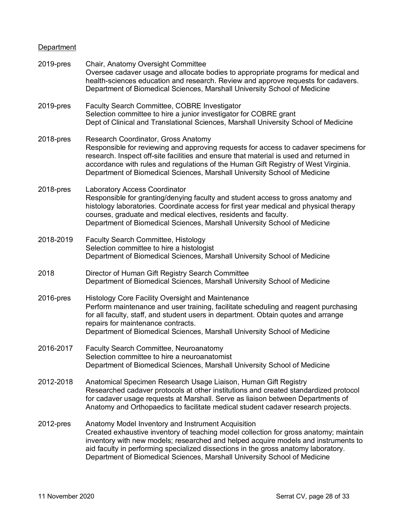# **Department**

| 2019-pres | Chair, Anatomy Oversight Committee<br>Oversee cadaver usage and allocate bodies to appropriate programs for medical and<br>health-sciences education and research. Review and approve requests for cadavers.<br>Department of Biomedical Sciences, Marshall University School of Medicine                                                                                                            |
|-----------|------------------------------------------------------------------------------------------------------------------------------------------------------------------------------------------------------------------------------------------------------------------------------------------------------------------------------------------------------------------------------------------------------|
| 2019-pres | Faculty Search Committee, COBRE Investigator<br>Selection committee to hire a junior investigator for COBRE grant<br>Dept of Clinical and Translational Sciences, Marshall University School of Medicine                                                                                                                                                                                             |
| 2018-pres | Research Coordinator, Gross Anatomy<br>Responsible for reviewing and approving requests for access to cadaver specimens for<br>research. Inspect off-site facilities and ensure that material is used and returned in<br>accordance with rules and regulations of the Human Gift Registry of West Virginia.<br>Department of Biomedical Sciences, Marshall University School of Medicine             |
| 2018-pres | <b>Laboratory Access Coordinator</b><br>Responsible for granting/denying faculty and student access to gross anatomy and<br>histology laboratories. Coordinate access for first year medical and physical therapy<br>courses, graduate and medical electives, residents and faculty.<br>Department of Biomedical Sciences, Marshall University School of Medicine                                    |
| 2018-2019 | <b>Faculty Search Committee, Histology</b><br>Selection committee to hire a histologist<br>Department of Biomedical Sciences, Marshall University School of Medicine                                                                                                                                                                                                                                 |
| 2018      | Director of Human Gift Registry Search Committee<br>Department of Biomedical Sciences, Marshall University School of Medicine                                                                                                                                                                                                                                                                        |
| 2016-pres | Histology Core Facility Oversight and Maintenance<br>Perform maintenance and user training, facilitate scheduling and reagent purchasing<br>for all faculty, staff, and student users in department. Obtain quotes and arrange<br>repairs for maintenance contracts.<br>Department of Biomedical Sciences, Marshall University School of Medicine                                                    |
| 2016-2017 | Faculty Search Committee, Neuroanatomy<br>Selection committee to hire a neuroanatomist<br>Department of Biomedical Sciences, Marshall University School of Medicine                                                                                                                                                                                                                                  |
| 2012-2018 | Anatomical Specimen Research Usage Liaison, Human Gift Registry<br>Researched cadaver protocols at other institutions and created standardized protocol<br>for cadaver usage requests at Marshall. Serve as liaison between Departments of<br>Anatomy and Orthopaedics to facilitate medical student cadaver research projects.                                                                      |
| 2012-pres | Anatomy Model Inventory and Instrument Acquisition<br>Created exhaustive inventory of teaching model collection for gross anatomy; maintain<br>inventory with new models; researched and helped acquire models and instruments to<br>aid faculty in performing specialized dissections in the gross anatomy laboratory.<br>Department of Biomedical Sciences, Marshall University School of Medicine |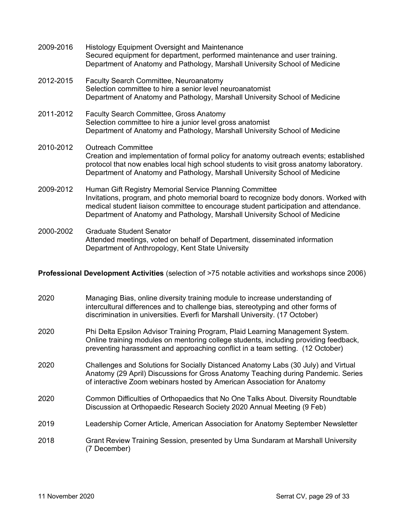| 2009-2016 | <b>Histology Equipment Oversight and Maintenance</b><br>Secured equipment for department, performed maintenance and user training.<br>Department of Anatomy and Pathology, Marshall University School of Medicine                                                                                                      |
|-----------|------------------------------------------------------------------------------------------------------------------------------------------------------------------------------------------------------------------------------------------------------------------------------------------------------------------------|
| 2012-2015 | <b>Faculty Search Committee, Neuroanatomy</b><br>Selection committee to hire a senior level neuroanatomist<br>Department of Anatomy and Pathology, Marshall University School of Medicine                                                                                                                              |
| 2011-2012 | <b>Faculty Search Committee, Gross Anatomy</b><br>Selection committee to hire a junior level gross anatomist<br>Department of Anatomy and Pathology, Marshall University School of Medicine                                                                                                                            |
| 2010-2012 | <b>Outreach Committee</b><br>Creation and implementation of formal policy for anatomy outreach events; established<br>protocol that now enables local high school students to visit gross anatomy laboratory.<br>Department of Anatomy and Pathology, Marshall University School of Medicine                           |
| 2009-2012 | Human Gift Registry Memorial Service Planning Committee<br>Invitations, program, and photo memorial board to recognize body donors. Worked with<br>medical student liaison committee to encourage student participation and attendance.<br>Department of Anatomy and Pathology, Marshall University School of Medicine |

2000-2002 Graduate Student Senator Attended meetings, voted on behalf of Department, disseminated information Department of Anthropology, Kent State University

**Professional Development Activities** (selection of >75 notable activities and workshops since 2006)

| 2020 | Managing Bias, online diversity training module to increase understanding of<br>intercultural differences and to challenge bias, stereotyping and other forms of<br>discrimination in universities. Everfi for Marshall University. (17 October)        |
|------|---------------------------------------------------------------------------------------------------------------------------------------------------------------------------------------------------------------------------------------------------------|
| 2020 | Phi Delta Epsilon Advisor Training Program, Plaid Learning Management System.<br>Online training modules on mentoring college students, including providing feedback,<br>preventing harassment and approaching conflict in a team setting. (12 October) |
| 2020 | Challenges and Solutions for Socially Distanced Anatomy Labs (30 July) and Virtual<br>Anatomy (29 April) Discussions for Gross Anatomy Teaching during Pandemic. Series<br>of interactive Zoom webinars hosted by American Association for Anatomy      |
| 2020 | Common Difficulties of Orthopaedics that No One Talks About. Diversity Roundtable<br>Discussion at Orthopaedic Research Society 2020 Annual Meeting (9 Feb)                                                                                             |
| 2019 | Leadership Corner Article, American Association for Anatomy September Newsletter                                                                                                                                                                        |
| 2018 | Grant Review Training Session, presented by Uma Sundaram at Marshall University<br>(7 December)                                                                                                                                                         |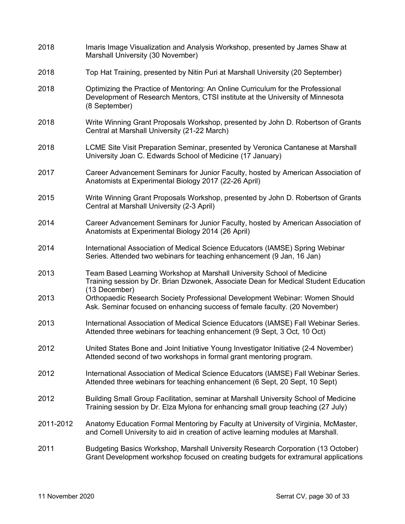| 2018      | Imaris Image Visualization and Analysis Workshop, presented by James Shaw at<br>Marshall University (30 November)                                                                  |
|-----------|------------------------------------------------------------------------------------------------------------------------------------------------------------------------------------|
| 2018      | Top Hat Training, presented by Nitin Puri at Marshall University (20 September)                                                                                                    |
| 2018      | Optimizing the Practice of Mentoring: An Online Curriculum for the Professional<br>Development of Research Mentors, CTSI institute at the University of Minnesota<br>(8 September) |
| 2018      | Write Winning Grant Proposals Workshop, presented by John D. Robertson of Grants<br>Central at Marshall University (21-22 March)                                                   |
| 2018      | LCME Site Visit Preparation Seminar, presented by Veronica Cantanese at Marshall<br>University Joan C. Edwards School of Medicine (17 January)                                     |
| 2017      | Career Advancement Seminars for Junior Faculty, hosted by American Association of<br>Anatomists at Experimental Biology 2017 (22-26 April)                                         |
| 2015      | Write Winning Grant Proposals Workshop, presented by John D. Robertson of Grants<br>Central at Marshall University (2-3 April)                                                     |
| 2014      | Career Advancement Seminars for Junior Faculty, hosted by American Association of<br>Anatomists at Experimental Biology 2014 (26 April)                                            |
| 2014      | International Association of Medical Science Educators (IAMSE) Spring Webinar<br>Series. Attended two webinars for teaching enhancement (9 Jan, 16 Jan)                            |
| 2013      | Team Based Learning Workshop at Marshall University School of Medicine<br>Training session by Dr. Brian Dzwonek, Associate Dean for Medical Student Education<br>(13 December)     |
| 2013      | Orthopaedic Research Society Professional Development Webinar: Women Should<br>Ask. Seminar focused on enhancing success of female faculty. (20 November)                          |
| 2013      | International Association of Medical Science Educators (IAMSE) Fall Webinar Series.<br>Attended three webinars for teaching enhancement (9 Sept, 3 Oct, 10 Oct)                    |
| 2012      | United States Bone and Joint Initiative Young Investigator Initiative (2-4 November)<br>Attended second of two workshops in formal grant mentoring program.                        |
| 2012      | International Association of Medical Science Educators (IAMSE) Fall Webinar Series.<br>Attended three webinars for teaching enhancement (6 Sept, 20 Sept, 10 Sept)                 |
| 2012      | Building Small Group Facilitation, seminar at Marshall University School of Medicine<br>Training session by Dr. Elza Mylona for enhancing small group teaching (27 July)           |
| 2011-2012 | Anatomy Education Formal Mentoring by Faculty at University of Virginia, McMaster,<br>and Cornell University to aid in creation of active learning modules at Marshall.            |
| 2011      | Budgeting Basics Workshop, Marshall University Research Corporation (13 October)<br>Grant Development workshop focused on creating budgets for extramural applications             |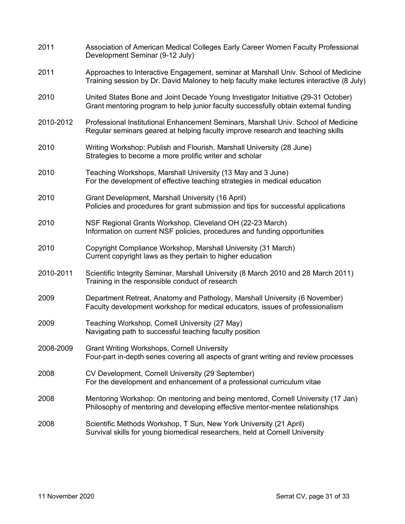| 2011      | Association of American Medical Colleges Early Career Women Faculty Professional<br>Development Seminar (9-12 July)                                                            |
|-----------|--------------------------------------------------------------------------------------------------------------------------------------------------------------------------------|
| 2011      | Approaches to Interactive Engagement, seminar at Marshall Univ. School of Medicine<br>Training session by Dr. David Maloney to help faculty make lectures interactive (8 July) |
| 2010      | United States Bone and Joint Decade Young Investigator Initiative (29-31 October)<br>Grant mentoring program to help junior faculty successfully obtain external funding       |
| 2010-2012 | Professional Institutional Enhancement Seminars, Marshall Univ. School of Medicine<br>Regular seminars geared at helping faculty improve research and teaching skills          |
| 2010      | Writing Workshop: Publish and Flourish, Marshall University (28 June)<br>Strategies to become a more prolific writer and scholar                                               |
| 2010      | Teaching Workshops, Marshall University (13 May and 3 June)<br>For the development of effective teaching strategies in medical education                                       |
| 2010      | Grant Development, Marshall University (16 April)<br>Policies and procedures for grant submission and tips for successful applications                                         |
| 2010      | NSF Regional Grants Workshop, Cleveland OH (22-23 March)<br>Information on current NSF policies, procedures and funding opportunities                                          |
| 2010      | Copyright Compliance Workshop, Marshall University (31 March)<br>Current copyright laws as they pertain to higher education                                                    |
| 2010-2011 | Scientific Integrity Seminar, Marshall University (8 March 2010 and 28 March 2011)<br>Training in the responsible conduct of research                                          |
| 2009      | Department Retreat, Anatomy and Pathology, Marshall University (6 November)<br>Faculty development workshop for medical educators, issues of professionalism                   |
| 2009      | Teaching Workshop, Cornell University (27 May)<br>Navigating path to successful teaching faculty position                                                                      |
| 2008-2009 | <b>Grant Writing Workshops, Cornell University</b><br>Four-part in-depth series covering all aspects of grant writing and review processes                                     |
| 2008      | CV Development, Cornell University (29 September)<br>For the development and enhancement of a professional curriculum vitae                                                    |
| 2008      | Mentoring Workshop: On mentoring and being mentored, Cornell University (17 Jan)<br>Philosophy of mentoring and developing effective mentor-mentee relationships               |
| 2008      | Scientific Methods Workshop, T Sun, New York University (21 April)<br>Survival skills for young biomedical researchers, held at Cornell University                             |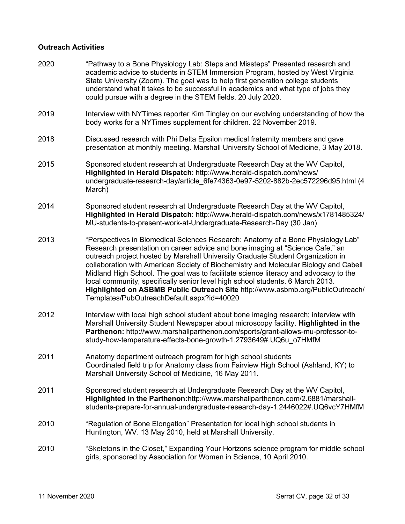### **Outreach Activities**

| 2020 | "Pathway to a Bone Physiology Lab: Steps and Missteps" Presented research and<br>academic advice to students in STEM Immersion Program, hosted by West Virginia<br>State University (Zoom). The goal was to help first generation college students<br>understand what it takes to be successful in academics and what type of jobs they<br>could pursue with a degree in the STEM fields. 20 July 2020.                                                                                                                                                                                                                                                |
|------|--------------------------------------------------------------------------------------------------------------------------------------------------------------------------------------------------------------------------------------------------------------------------------------------------------------------------------------------------------------------------------------------------------------------------------------------------------------------------------------------------------------------------------------------------------------------------------------------------------------------------------------------------------|
| 2019 | Interview with NYTimes reporter Kim Tingley on our evolving understanding of how the<br>body works for a NYTimes supplement for children. 22 November 2019.                                                                                                                                                                                                                                                                                                                                                                                                                                                                                            |
| 2018 | Discussed research with Phi Delta Epsilon medical fraternity members and gave<br>presentation at monthly meeting. Marshall University School of Medicine, 3 May 2018.                                                                                                                                                                                                                                                                                                                                                                                                                                                                                  |
| 2015 | Sponsored student research at Undergraduate Research Day at the WV Capitol,<br>Highlighted in Herald Dispatch: http://www.herald-dispatch.com/news/<br>undergraduate-research-day/article 6fe74363-0e97-5202-882b-2ec572296d95.html (4<br>March)                                                                                                                                                                                                                                                                                                                                                                                                       |
| 2014 | Sponsored student research at Undergraduate Research Day at the WV Capitol,<br>Highlighted in Herald Dispatch: http://www.herald-dispatch.com/news/x1781485324/<br>MU-students-to-present-work-at-Undergraduate-Research-Day (30 Jan)                                                                                                                                                                                                                                                                                                                                                                                                                  |
| 2013 | "Perspectives in Biomedical Sciences Research: Anatomy of a Bone Physiology Lab"<br>Research presentation on career advice and bone imaging at "Science Cafe," an<br>outreach project hosted by Marshall University Graduate Student Organization in<br>collaboration with American Society of Biochemistry and Molecular Biology and Cabell<br>Midland High School. The goal was to facilitate science literacy and advocacy to the<br>local community, specifically senior level high school students. 6 March 2013.<br>Highlighted on ASBMB Public Outreach Site http://www.asbmb.org/PublicOutreach/<br>Templates/PubOutreachDefault.aspx?id=40020 |
| 2012 | Interview with local high school student about bone imaging research; interview with<br>Marshall University Student Newspaper about microscopy facility. Highlighted in the<br>Parthenon: http://www.marshallparthenon.com/sports/grant-allows-mu-professor-to-<br>study-how-temperature-effects-bone-growth-1.2793649#.UQ6u o7HMfM                                                                                                                                                                                                                                                                                                                    |
| 2011 | Anatomy department outreach program for high school students<br>Coordinated field trip for Anatomy class from Fairview High School (Ashland, KY) to<br>Marshall University School of Medicine, 16 May 2011.                                                                                                                                                                                                                                                                                                                                                                                                                                            |
| 2011 | Sponsored student research at Undergraduate Research Day at the WV Capitol,<br>Highlighted in the Parthenon:http://www.marshallparthenon.com/2.6881/marshall-<br>students-prepare-for-annual-undergraduate-research-day-1.2446022#.UQ6vcY7HMfM                                                                                                                                                                                                                                                                                                                                                                                                         |
| 2010 | "Regulation of Bone Elongation" Presentation for local high school students in<br>Huntington, WV. 13 May 2010, held at Marshall University.                                                                                                                                                                                                                                                                                                                                                                                                                                                                                                            |
| 2010 | "Skeletons in the Closet," Expanding Your Horizons science program for middle school<br>girls, sponsored by Association for Women in Science, 10 April 2010.                                                                                                                                                                                                                                                                                                                                                                                                                                                                                           |